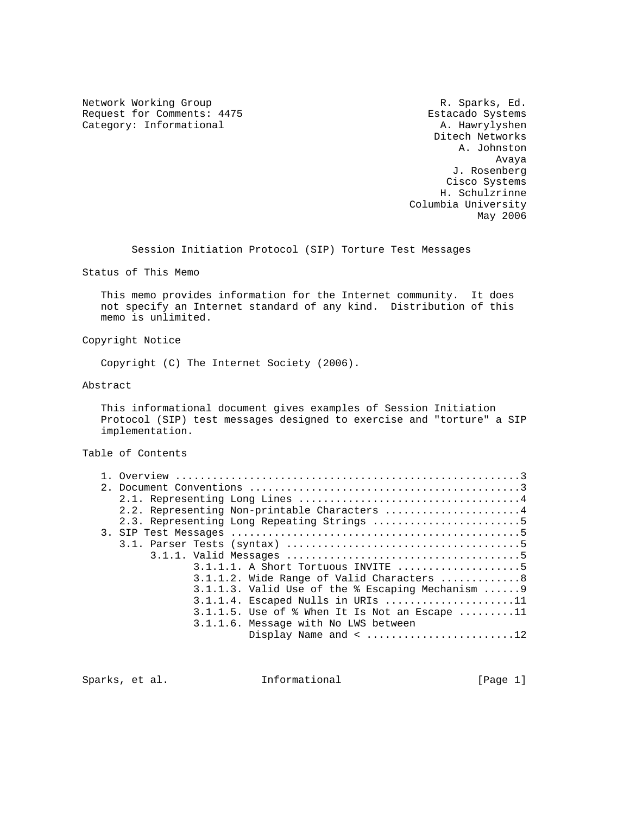Network Working Group **R. Sparks, Ed.** Research Metwork Working Group Request for Comments: 4475 Estacado Systems Category: Informational

 Ditech Networks A. Johnston Avaya J. Rosenberg Cisco Systems H. Schulzrinne Columbia University May 2006

Session Initiation Protocol (SIP) Torture Test Messages

Status of This Memo

 This memo provides information for the Internet community. It does not specify an Internet standard of any kind. Distribution of this memo is unlimited.

Copyright Notice

Copyright (C) The Internet Society (2006).

Abstract

 This informational document gives examples of Session Initiation Protocol (SIP) test messages designed to exercise and "torture" a SIP implementation.

Table of Contents

|  | 2.2. Representing Non-printable Characters 4                     |
|--|------------------------------------------------------------------|
|  | 2.3. Representing Long Repeating Strings 5                       |
|  |                                                                  |
|  |                                                                  |
|  |                                                                  |
|  | $3.1.1.1.$ A Short Tortuous INVITE 5                             |
|  | $3.1.1.2$ . Wide Range of Valid Characters 8                     |
|  | $3.1.1.3$ . Valid Use of the $\frac{1}{2}$ Escaping Mechanism  9 |
|  | $3.1.1.4$ . Escaped Nulls in URIs 11                             |
|  | $3.1.1.5$ . Use of $%$ When It Is Not an Escape 11               |
|  | 3.1.1.6. Message with No LWS between                             |
|  |                                                                  |
|  |                                                                  |

Sparks, et al. 1nformational [Page 1]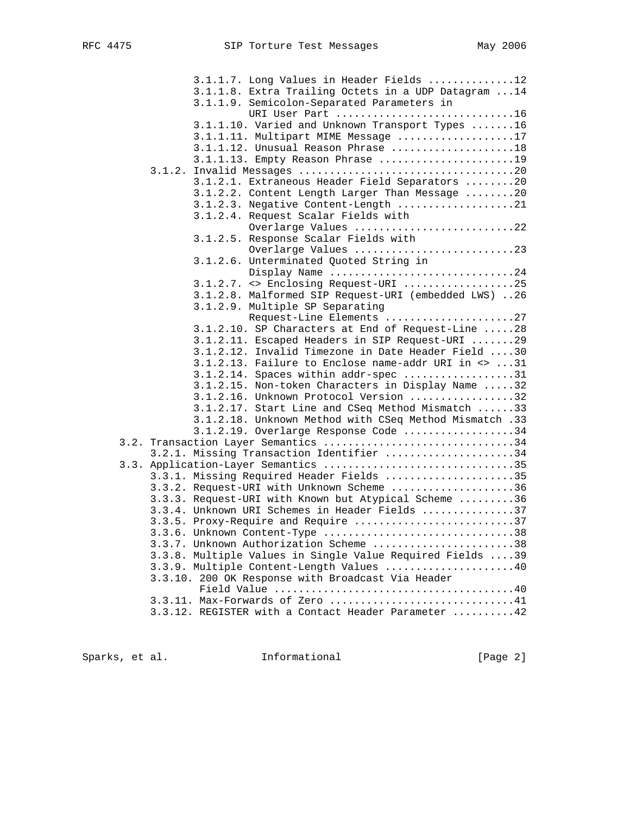| 3.1.1.7. Long Values in Header Fields 12                                 |
|--------------------------------------------------------------------------|
| 3.1.1.8. Extra Trailing Octets in a UDP Datagram  14                     |
| 3.1.1.9. Semicolon-Separated Parameters in                               |
| URI User Part 16                                                         |
| 3.1.1.10. Varied and Unknown Transport Types 16                          |
| 3.1.1.11. Multipart MIME Message 17                                      |
| $3.1.1.12$ . Unusual Reason Phrase 18                                    |
| 3.1.1.13. Empty Reason Phrase 19                                         |
|                                                                          |
| 3.1.2.1. Extraneous Header Field Separators 20                           |
| 3.1.2.2. Content Length Larger Than Message 20                           |
| 3.1.2.3. Negative Content-Length 21                                      |
| 3.1.2.4. Request Scalar Fields with                                      |
| Overlarge Values 22                                                      |
| 3.1.2.5. Response Scalar Fields with                                     |
| Overlarge Values 23                                                      |
| 3.1.2.6. Unterminated Quoted String in                                   |
| Display Name 24                                                          |
| 3.1.2.7. <> Enclosing Request-URI 25                                     |
| 3.1.2.8. Malformed SIP Request-URI (embedded LWS) 26                     |
| 3.1.2.9. Multiple SP Separating                                          |
| Request-Line Elements 27                                                 |
| 3.1.2.10. SP Characters at End of Request-Line 28                        |
| 3.1.2.11. Escaped Headers in SIP Request-URI 29                          |
| 3.1.2.12. Invalid Timezone in Date Header Field 30                       |
| $3.1.2.13$ . Failure to Enclose name-addr URI in $\langle 2, 31 \rangle$ |
| $3.1.2.14$ . Spaces within addr-spec 31                                  |
| 3.1.2.15. Non-token Characters in Display Name 32                        |
| 3.1.2.16. Unknown Protocol Version 32                                    |
| 3.1.2.17. Start Line and CSeq Method Mismatch 33                         |
| 3.1.2.18. Unknown Method with CSeq Method Mismatch .33                   |
| 3.1.2.19. Overlarge Response Code 34                                     |
| 3.2. Transaction Layer Semantics 34                                      |
| 3.2.1. Missing Transaction Identifier 34                                 |
| 3.3. Application-Layer Semantics 35                                      |
| 3.3.1. Missing Required Header Fields 35                                 |
| 3.3.2. Request-URI with Unknown Scheme 36                                |
| 3.3.3. Request-URI with Known but Atypical Scheme 36                     |
| 3.3.4. Unknown URI Schemes in Header Fields 37                           |
| 3.3.5. Proxy-Require and Require 37                                      |
| 3.3.6. Unknown Content-Type 38                                           |
| 3.3.7. Unknown Authorization Scheme 38                                   |
| 3.3.8. Multiple Values in Single Value Required Fields 39                |
|                                                                          |
| 3.3.9. Multiple Content-Length Values 40                                 |
| 3.3.10. 200 OK Response with Broadcast Via Header                        |
| 3.3.11. Max-Forwards of Zero 41                                          |
|                                                                          |
| 3.3.12. REGISTER with a Contact Header Parameter 42                      |

Sparks, et al. 1nformational 1998 [Page 2]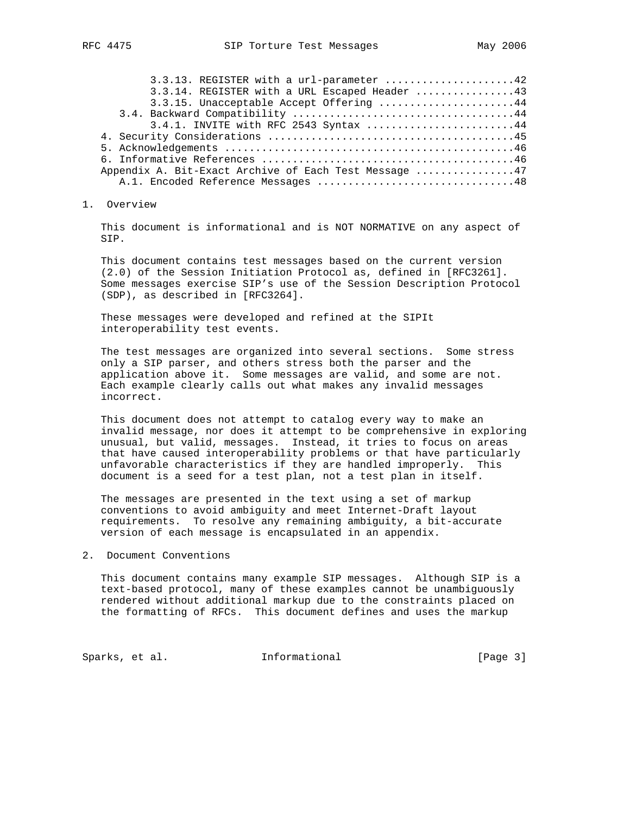| 3.3.13. REGISTER with a url-parameter 42              |  |
|-------------------------------------------------------|--|
| 3.3.14. REGISTER with a URL Escaped Header 43         |  |
| 3.3.15. Unacceptable Accept Offering 44               |  |
|                                                       |  |
| 3.4.1. INVITE with RFC 2543 Syntax 44                 |  |
|                                                       |  |
|                                                       |  |
|                                                       |  |
| Appendix A. Bit-Exact Archive of Each Test Message 47 |  |
| A.1. Encoded Reference Messages 48                    |  |

## 1. Overview

 This document is informational and is NOT NORMATIVE on any aspect of SIP.

 This document contains test messages based on the current version (2.0) of the Session Initiation Protocol as, defined in [RFC3261]. Some messages exercise SIP's use of the Session Description Protocol (SDP), as described in [RFC3264].

 These messages were developed and refined at the SIPIt interoperability test events.

 The test messages are organized into several sections. Some stress only a SIP parser, and others stress both the parser and the application above it. Some messages are valid, and some are not. Each example clearly calls out what makes any invalid messages incorrect.

 This document does not attempt to catalog every way to make an invalid message, nor does it attempt to be comprehensive in exploring unusual, but valid, messages. Instead, it tries to focus on areas that have caused interoperability problems or that have particularly unfavorable characteristics if they are handled improperly. This document is a seed for a test plan, not a test plan in itself.

 The messages are presented in the text using a set of markup conventions to avoid ambiguity and meet Internet-Draft layout requirements. To resolve any remaining ambiguity, a bit-accurate version of each message is encapsulated in an appendix.

### 2. Document Conventions

 This document contains many example SIP messages. Although SIP is a text-based protocol, many of these examples cannot be unambiguously rendered without additional markup due to the constraints placed on the formatting of RFCs. This document defines and uses the markup

Sparks, et al. 1nformational 1999 [Page 3]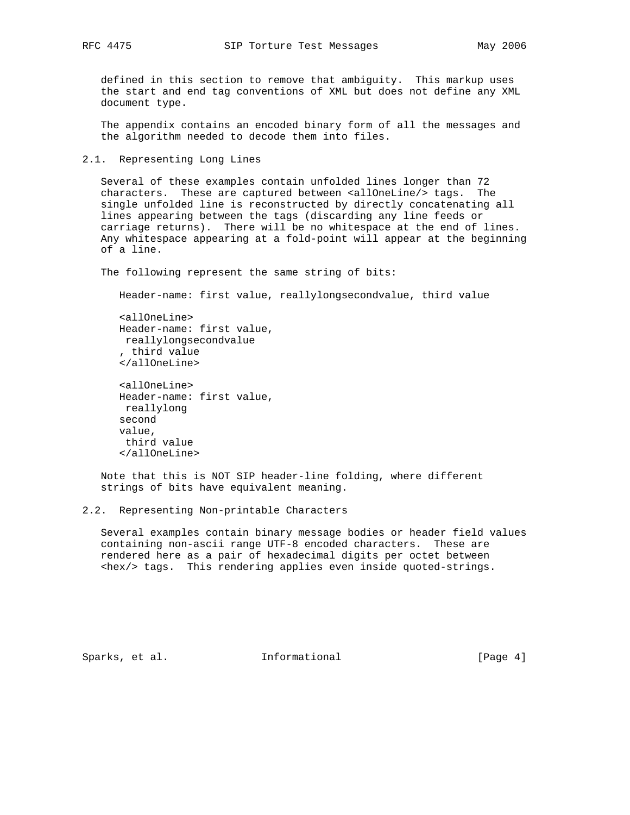defined in this section to remove that ambiguity. This markup uses the start and end tag conventions of XML but does not define any XML document type.

 The appendix contains an encoded binary form of all the messages and the algorithm needed to decode them into files.

2.1. Representing Long Lines

 Several of these examples contain unfolded lines longer than 72 characters. These are captured between <allOneLine/> tags. The single unfolded line is reconstructed by directly concatenating all lines appearing between the tags (discarding any line feeds or carriage returns). There will be no whitespace at the end of lines. Any whitespace appearing at a fold-point will appear at the beginning of a line.

The following represent the same string of bits:

Header-name: first value, reallylongsecondvalue, third value

```
 <allOneLine>
 Header-name: first value,
 reallylongsecondvalue
 , third value
 </allOneLine>
```

```
 <allOneLine>
 Header-name: first value,
 reallylong
 second
 value,
 third value
 </allOneLine>
```
 Note that this is NOT SIP header-line folding, where different strings of bits have equivalent meaning.

 Several examples contain binary message bodies or header field values containing non-ascii range UTF-8 encoded characters. These are rendered here as a pair of hexadecimal digits per octet between <hex/> tags. This rendering applies even inside quoted-strings.

Sparks, et al. 1nformational (Page 4)

<sup>2.2.</sup> Representing Non-printable Characters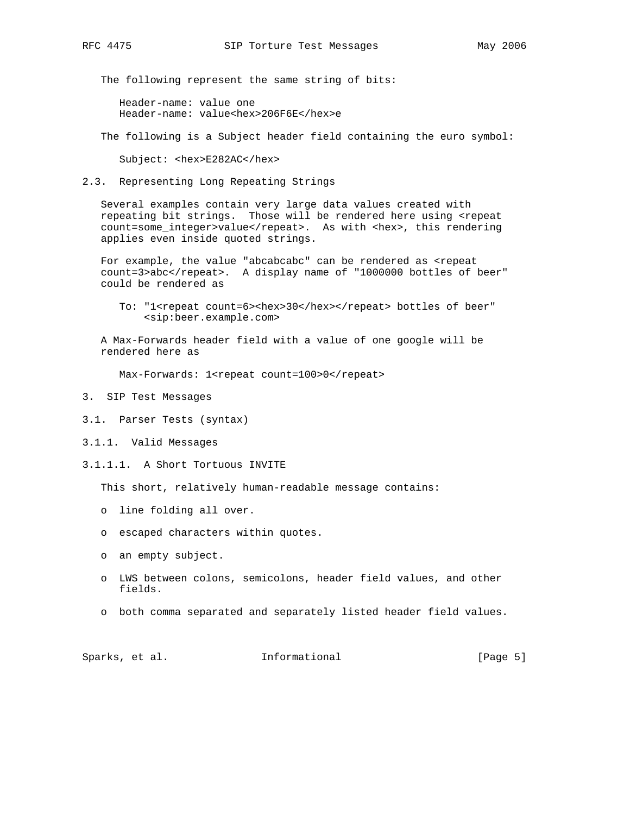The following represent the same string of bits:

 Header-name: value one Header-name: value<hex>206F6E</hex>e

The following is a Subject header field containing the euro symbol:

Subject: <hex>E282AC</hex>

2.3. Representing Long Repeating Strings

 Several examples contain very large data values created with repeating bit strings. Those will be rendered here using <repeat count=some\_integer>value</repeat>. As with <hex>, this rendering applies even inside quoted strings.

For example, the value "abcabcabc" can be rendered as <repeat count=3>abc</repeat>. A display name of "1000000 bottles of beer" could be rendered as

To: "1<repeat count=6><hex>30</hex></repeat> bottles of beer" <sip:beer.example.com>

 A Max-Forwards header field with a value of one google will be rendered here as

Max-Forwards: 1<repeat count=100>0</repeat>

- 3. SIP Test Messages
- 3.1. Parser Tests (syntax)
- 3.1.1. Valid Messages
- 3.1.1.1. A Short Tortuous INVITE

This short, relatively human-readable message contains:

- o line folding all over.
- o escaped characters within quotes.
- o an empty subject.
- o LWS between colons, semicolons, header field values, and other fields.
- o both comma separated and separately listed header field values.

Sparks, et al.  $I_n$  Informational [Page 5]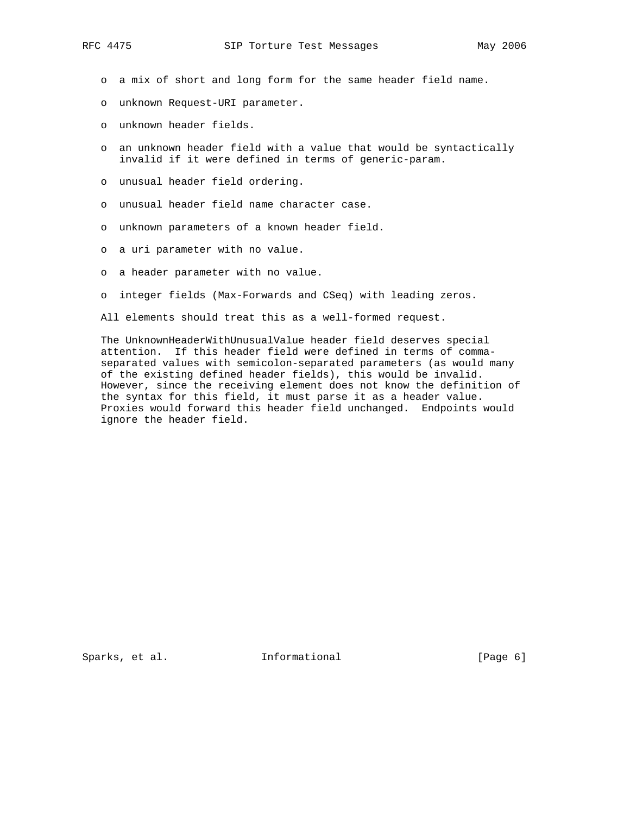- o a mix of short and long form for the same header field name.
- o unknown Request-URI parameter.
- o unknown header fields.
- o an unknown header field with a value that would be syntactically invalid if it were defined in terms of generic-param.
- o unusual header field ordering.
- o unusual header field name character case.
- o unknown parameters of a known header field.
- o a uri parameter with no value.
- o a header parameter with no value.
- o integer fields (Max-Forwards and CSeq) with leading zeros.

All elements should treat this as a well-formed request.

 The UnknownHeaderWithUnusualValue header field deserves special attention. If this header field were defined in terms of comma separated values with semicolon-separated parameters (as would many of the existing defined header fields), this would be invalid. However, since the receiving element does not know the definition of the syntax for this field, it must parse it as a header value. Proxies would forward this header field unchanged. Endpoints would ignore the header field.

Sparks, et al. 1nformational 1998 [Page 6]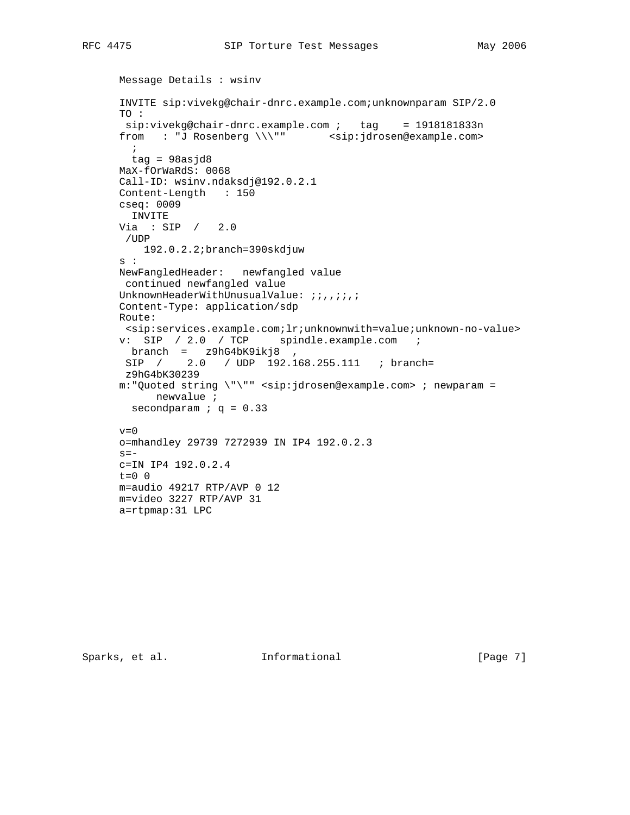```
 Message Details : wsinv
 INVITE sip:vivekg@chair-dnrc.example.com;unknownparam SIP/2.0
 TO :
sip:viewekg@chair-dnrc.example.com ; tag = 1918181833nfrom : "J Rosenberg \\\"" <sip:jdrosen@example.com>
\mathbf{i} tag = 98asjd8
 MaX-fOrWaRdS: 0068
 Call-ID: wsinv.ndaksdj@192.0.2.1
 Content-Length : 150
 cseq: 0009
  INVITE
 Via : SIP / 2.0
 /UDP
    192.0.2.2;branch=390skdjuw
 s :
 NewFangledHeader: newfangled value
 continued newfangled value
UnknownHeaderWithUnusualValue: ;;,,;;;;
 Content-Type: application/sdp
 Route:
 <sip:services.example.com;lr;unknownwith=value;unknown-no-value>
 v: SIP / 2.0 / TCP spindle.example.com ;
  branch = z9hG4bK9ikj8 ,
 SIP / 2.0 / UDP 192.168.255.111 ; branch=
 z9hG4bK30239
 m:"Quoted string \"\"" <sip:jdrosen@example.com> ; newparam =
      newvalue ;
secondparam ; q = 0.33v=0 o=mhandley 29739 7272939 IN IP4 192.0.2.3
s = - c=IN IP4 192.0.2.4
t=0 0
 m=audio 49217 RTP/AVP 0 12
```
m=video 3227 RTP/AVP 31

a=rtpmap:31 LPC

Sparks, et al. 1nformational 1998 [Page 7]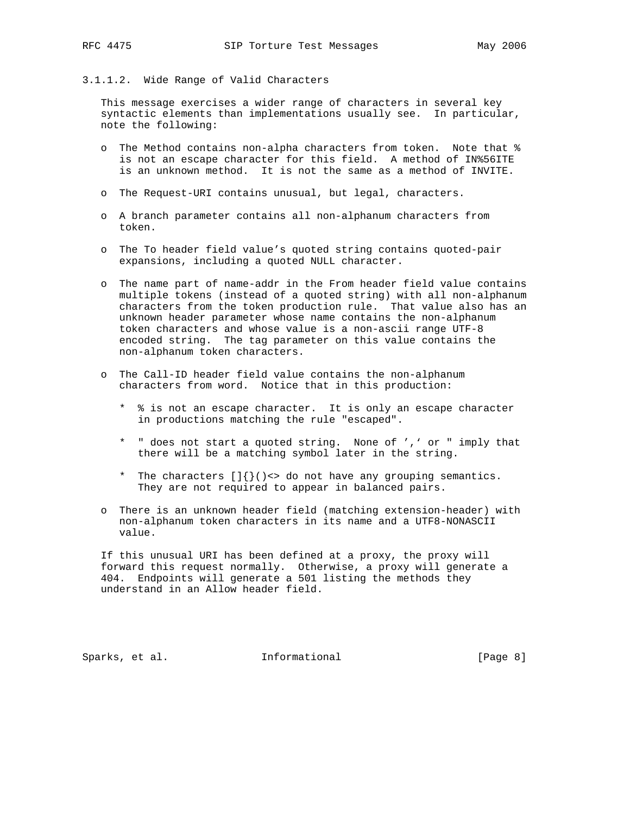# 3.1.1.2. Wide Range of Valid Characters

 This message exercises a wider range of characters in several key syntactic elements than implementations usually see. In particular, note the following:

- o The Method contains non-alpha characters from token. Note that % is not an escape character for this field. A method of IN%56ITE is an unknown method. It is not the same as a method of INVITE.
- o The Request-URI contains unusual, but legal, characters.
- o A branch parameter contains all non-alphanum characters from token.
- o The To header field value's quoted string contains quoted-pair expansions, including a quoted NULL character.
- o The name part of name-addr in the From header field value contains multiple tokens (instead of a quoted string) with all non-alphanum characters from the token production rule. That value also has an unknown header parameter whose name contains the non-alphanum token characters and whose value is a non-ascii range UTF-8 encoded string. The tag parameter on this value contains the non-alphanum token characters.
- o The Call-ID header field value contains the non-alphanum characters from word. Notice that in this production:
	- \* % is not an escape character. It is only an escape character in productions matching the rule "escaped".
	- \* " does not start a quoted string. None of ',' or " imply that there will be a matching symbol later in the string.
	- \* The characters  $\left[\right] \left\{ \right\}$  () <> do not have any grouping semantics. They are not required to appear in balanced pairs.
- o There is an unknown header field (matching extension-header) with non-alphanum token characters in its name and a UTF8-NONASCII value.

 If this unusual URI has been defined at a proxy, the proxy will forward this request normally. Otherwise, a proxy will generate a 404. Endpoints will generate a 501 listing the methods they understand in an Allow header field.

Sparks, et al. 1nformational (Page 8)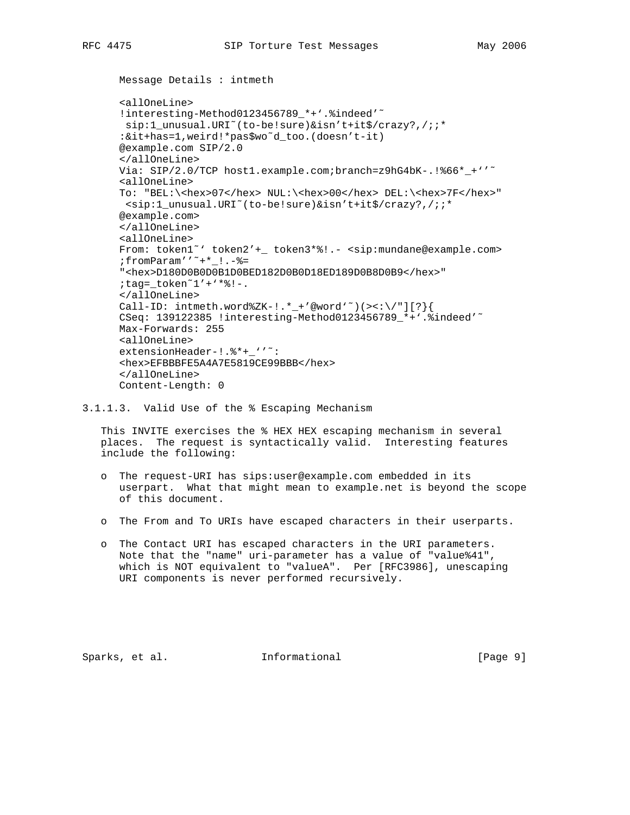```
 Message Details : intmeth
```

```
 <allOneLine>
!interesting-Method0123456789 *+'.%indeed'<sup>~</sup>
sip:1_unusual.URI~(to-be!sure)&isn't+it$/crazy?,/;;*
 :&it+has=1,weird!*pas$wo˜d_too.(doesn't-it)
 @example.com SIP/2.0
 </allOneLine>
Via: SIP/2.0/TCP host1.example.com;branch=z9hG4bK-.!%66*_+''<sup>~</sup>
 <allOneLine>
 To: "BEL:\<hex>07</hex> NUL:\<hex>00</hex> DEL:\<hex>7F</hex>"
 <sip:1_unusual.URI˜(to-be!sure)&isn't+it$/crazy?,/;;*
 @example.com>
 </allOneLine>
 <allOneLine>
 From: token1˜' token2'+_ token3*%!.- <sip:mundane@example.com>
 ;fromParam''˜+*_!.-%=
 "<hex>D180D0B0D0B1D0BED182D0B0D18ED189D0B8D0B9</hex>"
 ;tag=_token˜1'+'*%!-.
 </allOneLine>
Call-ID: intmeth.word%ZK-!.*_+'@word'<sup>~</sup>)(><:\/"][?}{
 CSeq: 139122385 !interesting-Method0123456789_*+'.%indeed'˜
 Max-Forwards: 255
 <allOneLine>
extensionHeader-!.%*+_''<sup>~</sup>:
 <hex>EFBBBFE5A4A7E5819CE99BBB</hex>
 </allOneLine>
 Content-Length: 0
```
3.1.1.3. Valid Use of the % Escaping Mechanism

 This INVITE exercises the % HEX HEX escaping mechanism in several places. The request is syntactically valid. Interesting features include the following:

- o The request-URI has sips:user@example.com embedded in its userpart. What that might mean to example.net is beyond the scope of this document.
- o The From and To URIs have escaped characters in their userparts.
- o The Contact URI has escaped characters in the URI parameters. Note that the "name" uri-parameter has a value of "value%41", which is NOT equivalent to "valueA". Per [RFC3986], unescaping URI components is never performed recursively.

Sparks, et al.  $I_n$  Informational [Page 9]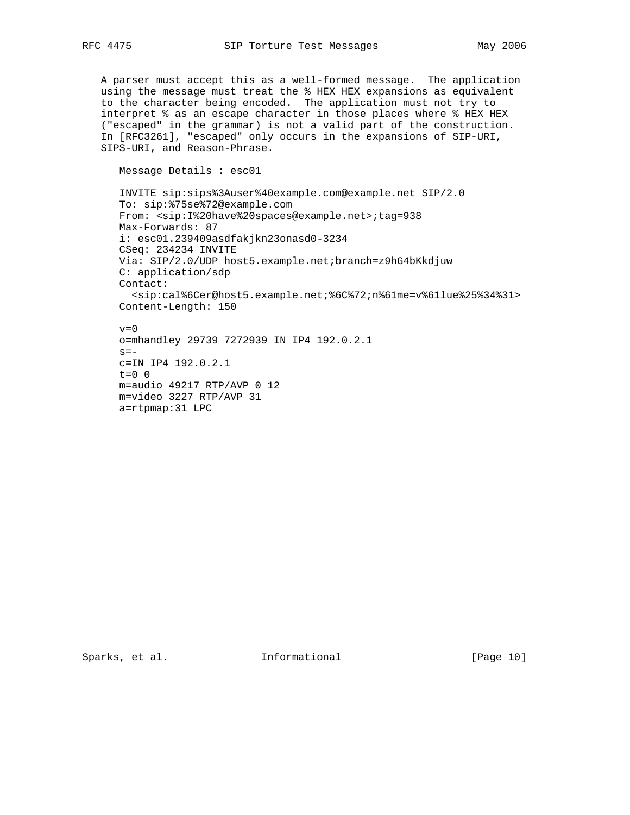A parser must accept this as a well-formed message. The application using the message must treat the % HEX HEX expansions as equivalent to the character being encoded. The application must not try to interpret % as an escape character in those places where % HEX HEX ("escaped" in the grammar) is not a valid part of the construction. In [RFC3261], "escaped" only occurs in the expansions of SIP-URI, SIPS-URI, and Reason-Phrase.

Message Details : esc01

a=rtpmap:31 LPC

```
 INVITE sip:sips%3Auser%40example.com@example.net SIP/2.0
 To: sip:%75se%72@example.com
 From: <sip:I%20have%20spaces@example.net>;tag=938
 Max-Forwards: 87
 i: esc01.239409asdfakjkn23onasd0-3234
 CSeq: 234234 INVITE
 Via: SIP/2.0/UDP host5.example.net;branch=z9hG4bKkdjuw
 C: application/sdp
 Contact:
  <sip:cal%6Cer@host5.example.net;%6C%72;n%61me=v%61lue%25%34%31>
 Content-Length: 150
v=0 o=mhandley 29739 7272939 IN IP4 192.0.2.1
s=- c=IN IP4 192.0.2.1
t=0 0
 m=audio 49217 RTP/AVP 0 12
 m=video 3227 RTP/AVP 31
```
Sparks, et al. 1nformational [Page 10]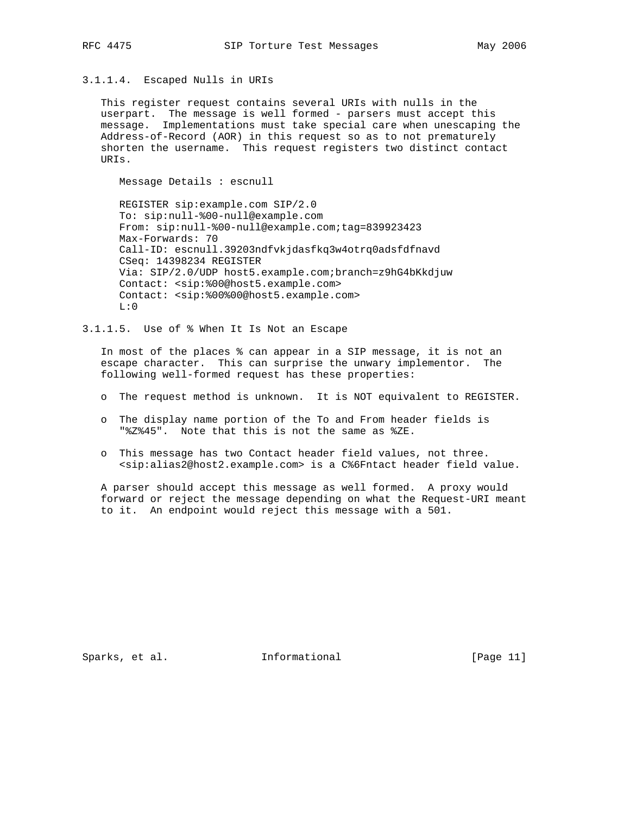# 3.1.1.4. Escaped Nulls in URIs

 This register request contains several URIs with nulls in the userpart. The message is well formed - parsers must accept this message. Implementations must take special care when unescaping the Address-of-Record (AOR) in this request so as to not prematurely shorten the username. This request registers two distinct contact URIs.

Message Details : escnull

 REGISTER sip:example.com SIP/2.0 To: sip:null-%00-null@example.com From: sip:null-%00-null@example.com;tag=839923423 Max-Forwards: 70 Call-ID: escnull.39203ndfvkjdasfkq3w4otrq0adsfdfnavd CSeq: 14398234 REGISTER Via: SIP/2.0/UDP host5.example.com;branch=z9hG4bKkdjuw Contact: <sip:%00@host5.example.com> Contact: <sip:%00%00@host5.example.com>  $L:0$ 

3.1.1.5. Use of % When It Is Not an Escape

 In most of the places % can appear in a SIP message, it is not an escape character. This can surprise the unwary implementor. The following well-formed request has these properties:

- o The request method is unknown. It is NOT equivalent to REGISTER.
- o The display name portion of the To and From header fields is "%Z%45". Note that this is not the same as %ZE.
- o This message has two Contact header field values, not three. <sip:alias2@host2.example.com> is a C%6Fntact header field value.

 A parser should accept this message as well formed. A proxy would forward or reject the message depending on what the Request-URI meant to it. An endpoint would reject this message with a 501.

Sparks, et al. 1nformational [Page 11]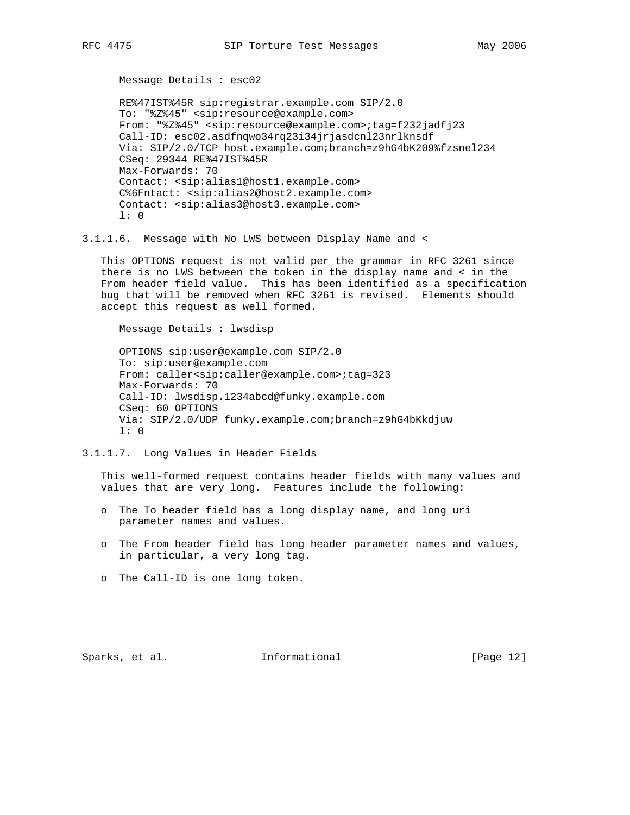Message Details : esc02

 RE%47IST%45R sip:registrar.example.com SIP/2.0 To: "%Z%45" <sip:resource@example.com> From: "%Z%45" <sip:resource@example.com>;tag=f232jadfj23 Call-ID: esc02.asdfnqwo34rq23i34jrjasdcnl23nrlknsdf Via: SIP/2.0/TCP host.example.com;branch=z9hG4bK209%fzsnel234 CSeq: 29344 RE%47IST%45R Max-Forwards: 70 Contact: <sip:alias1@host1.example.com> C%6Fntact: <sip:alias2@host2.example.com> Contact: <sip:alias3@host3.example.com> l: 0

3.1.1.6. Message with No LWS between Display Name and <

 This OPTIONS request is not valid per the grammar in RFC 3261 since there is no LWS between the token in the display name and < in the From header field value. This has been identified as a specification bug that will be removed when RFC 3261 is revised. Elements should accept this request as well formed.

 Message Details : lwsdisp OPTIONS sip:user@example.com SIP/2.0 To: sip:user@example.com From: caller<sip:caller@example.com>;tag=323 Max-Forwards: 70 Call-ID: lwsdisp.1234abcd@funky.example.com CSeq: 60 OPTIONS Via: SIP/2.0/UDP funky.example.com;branch=z9hG4bKkdjuw l: 0

3.1.1.7. Long Values in Header Fields

 This well-formed request contains header fields with many values and values that are very long. Features include the following:

- o The To header field has a long display name, and long uri parameter names and values.
- o The From header field has long header parameter names and values, in particular, a very long tag.
- o The Call-ID is one long token.

Sparks, et al. **Informational** [Page 12]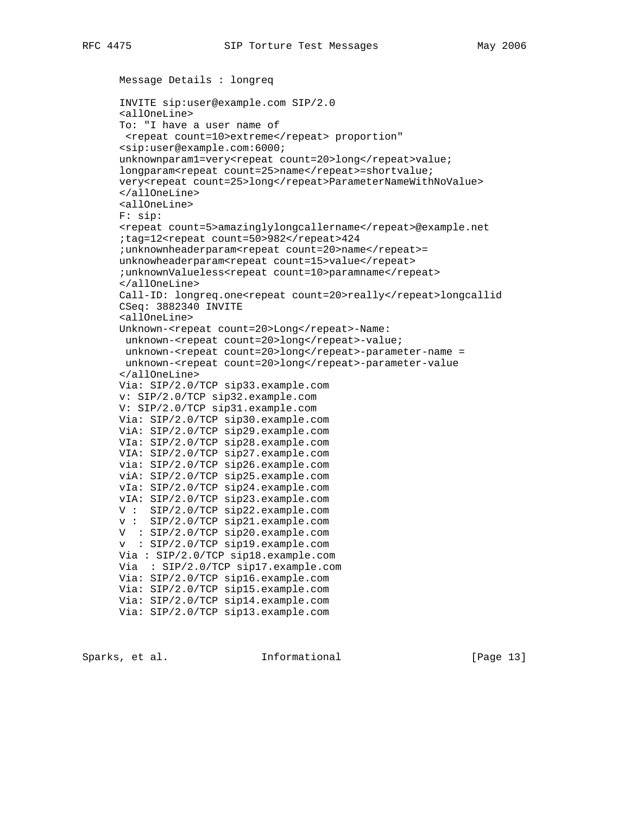```
 Message Details : longreq
 INVITE sip:user@example.com SIP/2.0
 <allOneLine>
 To: "I have a user name of
 <repeat count=10>extreme</repeat> proportion"
 <sip:user@example.com:6000;
 unknownparam1=very<repeat count=20>long</repeat>value;
longparam<repeat count=25>name</repeat>=shortvalue;
 very<repeat count=25>long</repeat>ParameterNameWithNoValue>
 </allOneLine>
 <allOneLine>
 F: sip:
 <repeat count=5>amazinglylongcallername</repeat>@example.net
 ;tag=12<repeat count=50>982</repeat>424
; unknownheaderparam<repeat count=20>name</repeat>=
unknowheaderparam<repeat count=15>value</repeat>
; unknownValueless<repeat count=10>paramname</repeat>
 </allOneLine>
Call-ID: longreq.one<repeat count=20>really</repeat>longcallid
 CSeq: 3882340 INVITE
 <allOneLine>
Unknown-<repeat count=20>Long</repeat>-Name:
unknown-<repeat count=20>long</repeat>-value;
unknown-<repeat count=20>long</repeat>-parameter-name =
unknown-<repeat count=20>long</repeat>-parameter-value
 </allOneLine>
 Via: SIP/2.0/TCP sip33.example.com
 v: SIP/2.0/TCP sip32.example.com
 V: SIP/2.0/TCP sip31.example.com
 Via: SIP/2.0/TCP sip30.example.com
 ViA: SIP/2.0/TCP sip29.example.com
 VIa: SIP/2.0/TCP sip28.example.com
 VIA: SIP/2.0/TCP sip27.example.com
 via: SIP/2.0/TCP sip26.example.com
 viA: SIP/2.0/TCP sip25.example.com
 vIa: SIP/2.0/TCP sip24.example.com
 vIA: SIP/2.0/TCP sip23.example.com
 V : SIP/2.0/TCP sip22.example.com
 v : SIP/2.0/TCP sip21.example.com
 V : SIP/2.0/TCP sip20.example.com
 v : SIP/2.0/TCP sip19.example.com
 Via : SIP/2.0/TCP sip18.example.com
 Via : SIP/2.0/TCP sip17.example.com
 Via: SIP/2.0/TCP sip16.example.com
 Via: SIP/2.0/TCP sip15.example.com
 Via: SIP/2.0/TCP sip14.example.com
 Via: SIP/2.0/TCP sip13.example.com
```
Sparks, et al. **Informational** [Page 13]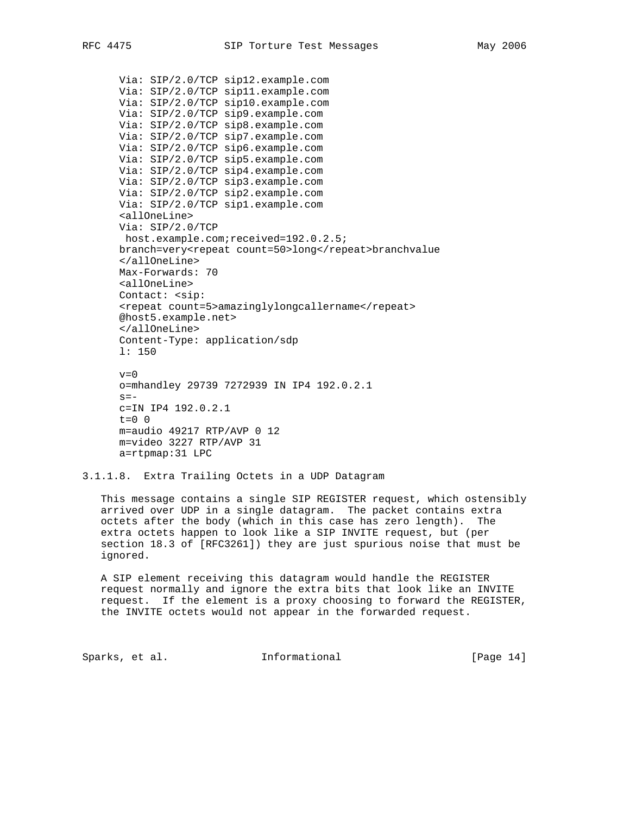```
 Via: SIP/2.0/TCP sip12.example.com
 Via: SIP/2.0/TCP sip11.example.com
 Via: SIP/2.0/TCP sip10.example.com
 Via: SIP/2.0/TCP sip9.example.com
 Via: SIP/2.0/TCP sip8.example.com
 Via: SIP/2.0/TCP sip7.example.com
 Via: SIP/2.0/TCP sip6.example.com
 Via: SIP/2.0/TCP sip5.example.com
 Via: SIP/2.0/TCP sip4.example.com
 Via: SIP/2.0/TCP sip3.example.com
 Via: SIP/2.0/TCP sip2.example.com
 Via: SIP/2.0/TCP sip1.example.com
 <allOneLine>
 Via: SIP/2.0/TCP
 host.example.com;received=192.0.2.5;
 branch=very<repeat count=50>long</repeat>branchvalue
 </allOneLine>
 Max-Forwards: 70
 <allOneLine>
 Contact: <sip:
 <repeat count=5>amazinglylongcallername</repeat>
 @host5.example.net>
 </allOneLine>
 Content-Type: application/sdp
 l: 150
v=0 o=mhandley 29739 7272939 IN IP4 192.0.2.1
s = - c=IN IP4 192.0.2.1
t=0 0
 m=audio 49217 RTP/AVP 0 12
 m=video 3227 RTP/AVP 31
```

```
3.1.1.8. Extra Trailing Octets in a UDP Datagram
```
a=rtpmap:31 LPC

 This message contains a single SIP REGISTER request, which ostensibly arrived over UDP in a single datagram. The packet contains extra octets after the body (which in this case has zero length). The extra octets happen to look like a SIP INVITE request, but (per section 18.3 of [RFC3261]) they are just spurious noise that must be ignored.

 A SIP element receiving this datagram would handle the REGISTER request normally and ignore the extra bits that look like an INVITE request. If the element is a proxy choosing to forward the REGISTER, the INVITE octets would not appear in the forwarded request.

Sparks, et al. 1nformational [Page 14]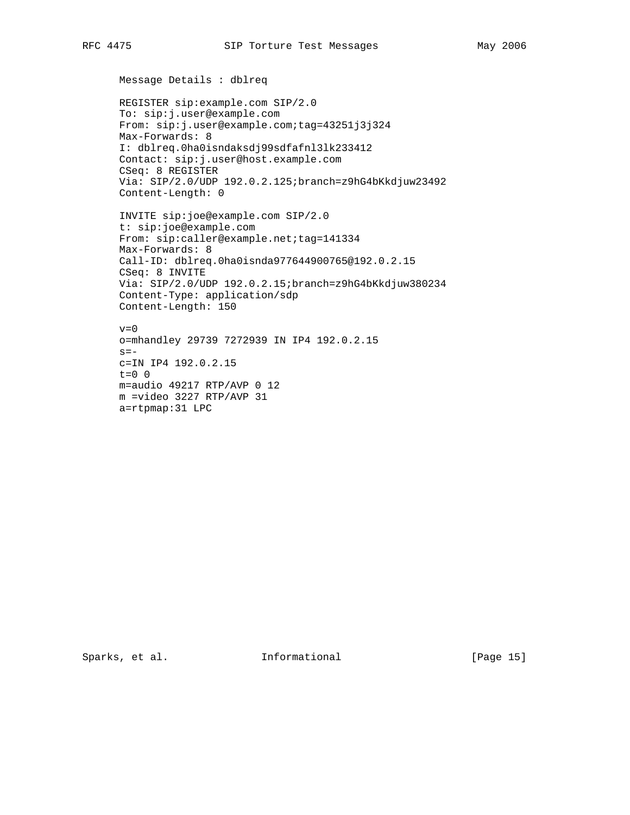```
 Message Details : dblreq
 REGISTER sip:example.com SIP/2.0
 To: sip:j.user@example.com
 From: sip:j.user@example.com;tag=43251j3j324
 Max-Forwards: 8
 I: dblreq.0ha0isndaksdj99sdfafnl3lk233412
 Contact: sip:j.user@host.example.com
 CSeq: 8 REGISTER
 Via: SIP/2.0/UDP 192.0.2.125;branch=z9hG4bKkdjuw23492
 Content-Length: 0
 INVITE sip:joe@example.com SIP/2.0
 t: sip:joe@example.com
From: sip:caller@example.net;tag=141334
 Max-Forwards: 8
 Call-ID: dblreq.0ha0isnda977644900765@192.0.2.15
 CSeq: 8 INVITE
 Via: SIP/2.0/UDP 192.0.2.15;branch=z9hG4bKkdjuw380234
 Content-Type: application/sdp
 Content-Length: 150
v=0 o=mhandley 29739 7272939 IN IP4 192.0.2.15
s=- c=IN IP4 192.0.2.15
```
 m =video 3227 RTP/AVP 31 a=rtpmap:31 LPC

m=audio 49217 RTP/AVP 0 12

 $t=0$  0

Sparks, et al. 1nformational [Page 15]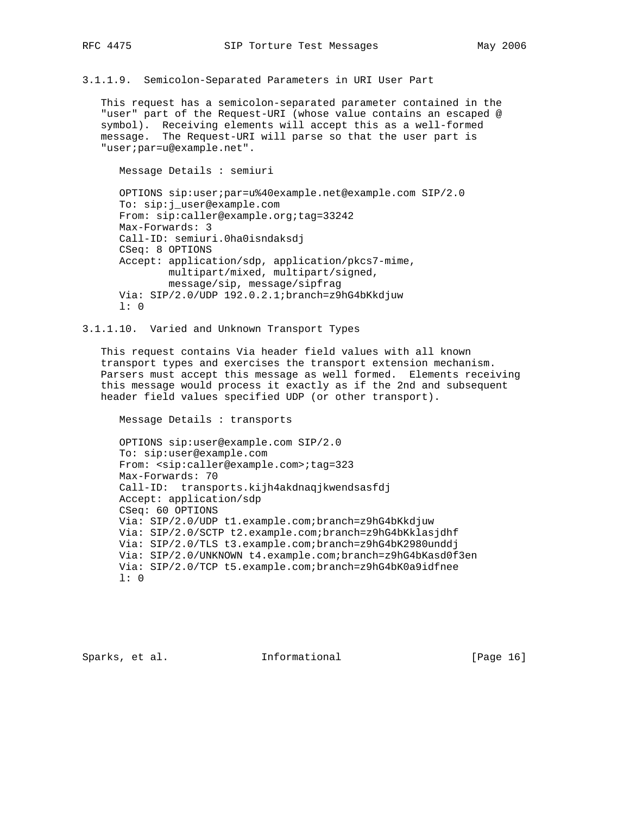3.1.1.9. Semicolon-Separated Parameters in URI User Part

 This request has a semicolon-separated parameter contained in the "user" part of the Request-URI (whose value contains an escaped @ symbol). Receiving elements will accept this as a well-formed message. The Request-URI will parse so that the user part is "user;par=u@example.net".

 Message Details : semiuri OPTIONS sip:user;par=u%40example.net@example.com SIP/2.0 To: sip:j\_user@example.com From: sip:caller@example.org;tag=33242 Max-Forwards: 3 Call-ID: semiuri.0ha0isndaksdj CSeq: 8 OPTIONS Accept: application/sdp, application/pkcs7-mime, multipart/mixed, multipart/signed, message/sip, message/sipfrag Via: SIP/2.0/UDP 192.0.2.1;branch=z9hG4bKkdjuw l: 0

# 3.1.1.10. Varied and Unknown Transport Types

 This request contains Via header field values with all known transport types and exercises the transport extension mechanism. Parsers must accept this message as well formed. Elements receiving this message would process it exactly as if the 2nd and subsequent header field values specified UDP (or other transport).

Message Details : transports

 OPTIONS sip:user@example.com SIP/2.0 To: sip:user@example.com From: <sip:caller@example.com>;tag=323 Max-Forwards: 70 Call-ID: transports.kijh4akdnaqjkwendsasfdj Accept: application/sdp CSeq: 60 OPTIONS Via: SIP/2.0/UDP t1.example.com;branch=z9hG4bKkdjuw Via: SIP/2.0/SCTP t2.example.com;branch=z9hG4bKklasjdhf Via: SIP/2.0/TLS t3.example.com;branch=z9hG4bK2980unddj Via: SIP/2.0/UNKNOWN t4.example.com;branch=z9hG4bKasd0f3en Via: SIP/2.0/TCP t5.example.com;branch=z9hG4bK0a9idfnee l: 0

Sparks, et al. **Informational** [Page 16]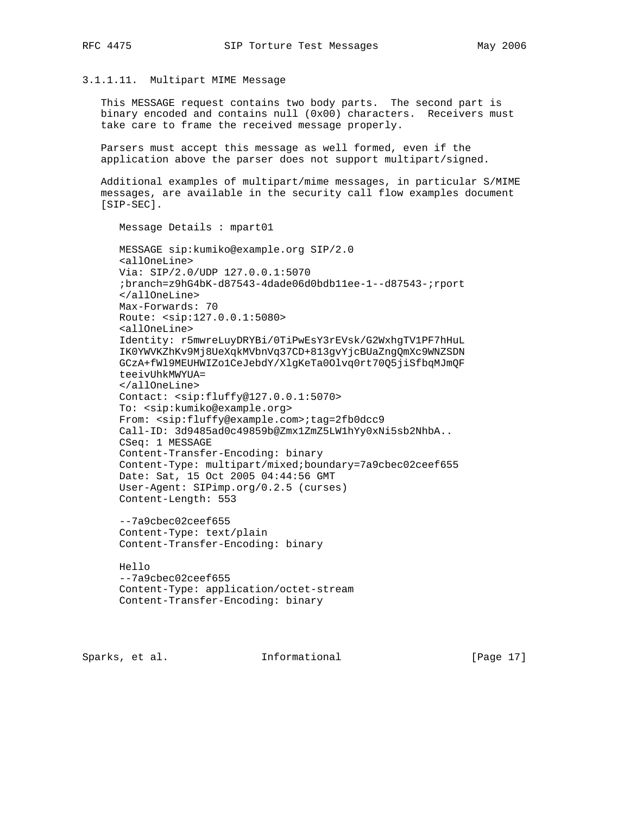# 3.1.1.11. Multipart MIME Message

 This MESSAGE request contains two body parts. The second part is binary encoded and contains null (0x00) characters. Receivers must take care to frame the received message properly.

 Parsers must accept this message as well formed, even if the application above the parser does not support multipart/signed.

 Additional examples of multipart/mime messages, in particular S/MIME messages, are available in the security call flow examples document [SIP-SEC].

 Message Details : mpart01 MESSAGE sip:kumiko@example.org SIP/2.0 <allOneLine> Via: SIP/2.0/UDP 127.0.0.1:5070 ;branch=z9hG4bK-d87543-4dade06d0bdb11ee-1--d87543-;rport </allOneLine> Max-Forwards: 70 Route: <sip:127.0.0.1:5080> <allOneLine> Identity: r5mwreLuyDRYBi/0TiPwEsY3rEVsk/G2WxhgTV1PF7hHuL IK0YWVKZhKv9Mj8UeXqkMVbnVq37CD+813gvYjcBUaZngQmXc9WNZSDN GCzA+fWl9MEUHWIZo1CeJebdY/XlgKeTa0Olvq0rt70Q5jiSfbqMJmQF teeivUhkMWYUA= </allOneLine> Contact: <sip:fluffy@127.0.0.1:5070> To: <sip:kumiko@example.org> From: <sip:fluffy@example.com>;tag=2fb0dcc9 Call-ID: 3d9485ad0c49859b@Zmx1ZmZ5LW1hYy0xNi5sb2NhbA.. CSeq: 1 MESSAGE Content-Transfer-Encoding: binary Content-Type: multipart/mixed;boundary=7a9cbec02ceef655 Date: Sat, 15 Oct 2005 04:44:56 GMT User-Agent: SIPimp.org/0.2.5 (curses) Content-Length: 553

 --7a9cbec02ceef655 Content-Type: text/plain Content-Transfer-Encoding: binary

```
 Hello
 --7a9cbec02ceef655
 Content-Type: application/octet-stream
 Content-Transfer-Encoding: binary
```
Sparks, et al. **Informational** [Page 17]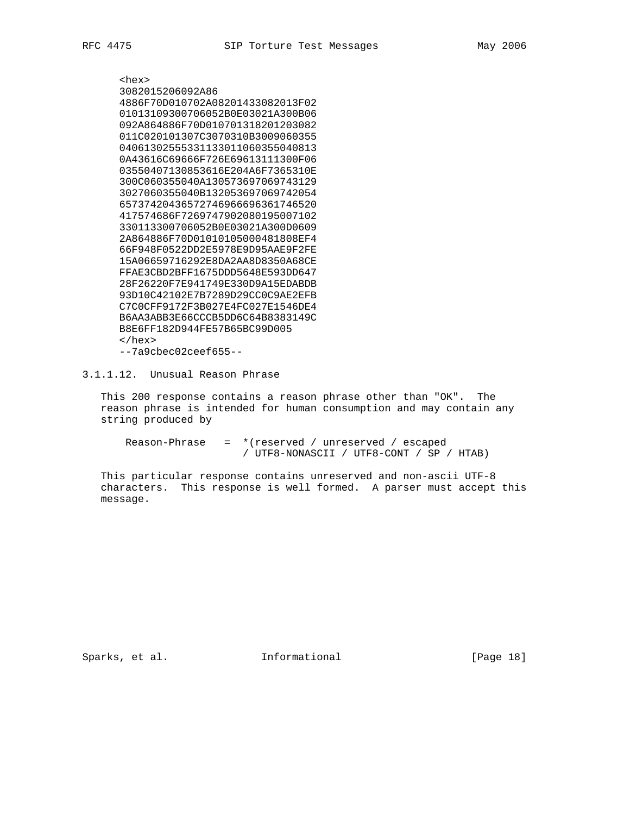<hex> 3082015206092A86 4886F70D010702A08201433082013F02 01013109300706052B0E03021A300B06 092A864886F70D010701318201203082 011C020101307C3070310B3009060355 04061302555331133011060355040813 0A43616C69666F726E69613111300F06 03550407130853616E204A6F7365310E 300C060355040A130573697069743129 3027060355040B132053697069742054 65737420436572746966696361746520 417574686F7269747902080195007102 330113300706052B0E03021A300D0609 2A864886F70D01010105000481808EF4 66F948F0522DD2E5978E9D95AAE9F2FE 15A06659716292E8DA2AA8D8350A68CE FFAE3CBD2BFF1675DDD5648E593DD647 28F26220F7E941749E330D9A15EDABDB 93D10C42102E7B7289D29CC0C9AE2EFB C7C0CFF9172F3B027E4FC027E1546DE4 B6AA3ABB3E66CCCB5DD6C64B8383149C B8E6FF182D944FE57B65BC99D005 </hex> --7a9cbec02ceef655--

3.1.1.12. Unusual Reason Phrase

 This 200 response contains a reason phrase other than "OK". The reason phrase is intended for human consumption and may contain any string produced by

 Reason-Phrase = \*(reserved / unreserved / escaped / UTF8-NONASCII / UTF8-CONT / SP / HTAB)

 This particular response contains unreserved and non-ascii UTF-8 characters. This response is well formed. A parser must accept this message.

Sparks, et al. 1nformational [Page 18]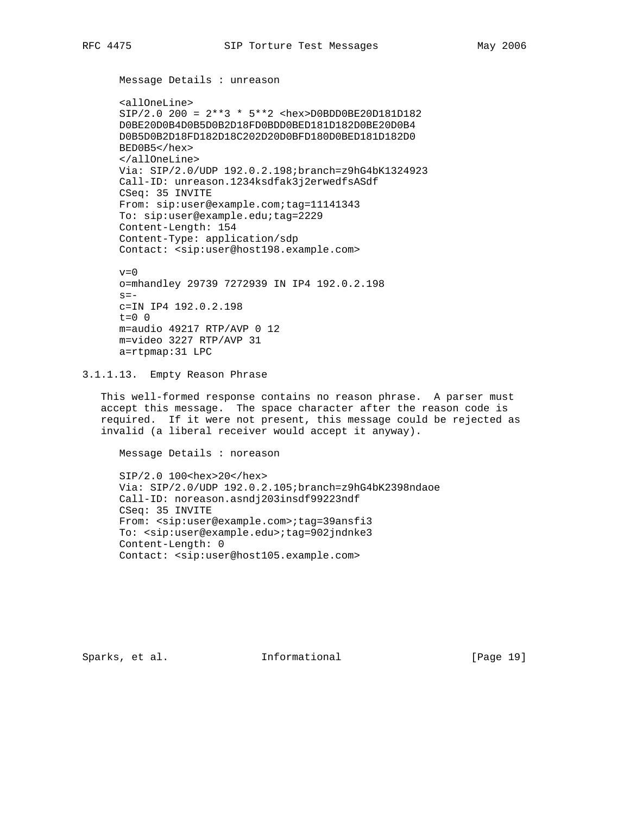```
 Message Details : unreason
```
 <allOneLine> SIP/2.0 200 = 2\*\*3 \* 5\*\*2 <hex>D0BDD0BE20D181D182 D0BE20D0B4D0B5D0B2D18FD0BDD0BED181D182D0BE20D0B4 D0B5D0B2D18FD182D18C202D20D0BFD180D0BED181D182D0 BED0B5</hex> </allOneLine> Via: SIP/2.0/UDP 192.0.2.198;branch=z9hG4bK1324923 Call-ID: unreason.1234ksdfak3j2erwedfsASdf CSeq: 35 INVITE From: sip:user@example.com;tag=11141343 To: sip:user@example.edu;tag=2229 Content-Length: 154 Content-Type: application/sdp Contact: <sip:user@host198.example.com>

```
v=0 o=mhandley 29739 7272939 IN IP4 192.0.2.198
s = - c=IN IP4 192.0.2.198
t=0 0
 m=audio 49217 RTP/AVP 0 12
 m=video 3227 RTP/AVP 31
 a=rtpmap:31 LPC
```
3.1.1.13. Empty Reason Phrase

 This well-formed response contains no reason phrase. A parser must accept this message. The space character after the reason code is required. If it were not present, this message could be rejected as invalid (a liberal receiver would accept it anyway).

Message Details : noreason

 SIP/2.0 100<hex>20</hex> Via: SIP/2.0/UDP 192.0.2.105;branch=z9hG4bK2398ndaoe Call-ID: noreason.asndj203insdf99223ndf CSeq: 35 INVITE From: <sip:user@example.com>;tag=39ansfi3 To: <sip:user@example.edu>;tag=902jndnke3 Content-Length: 0 Contact: <sip:user@host105.example.com>

Sparks, et al. **Informational** [Page 19]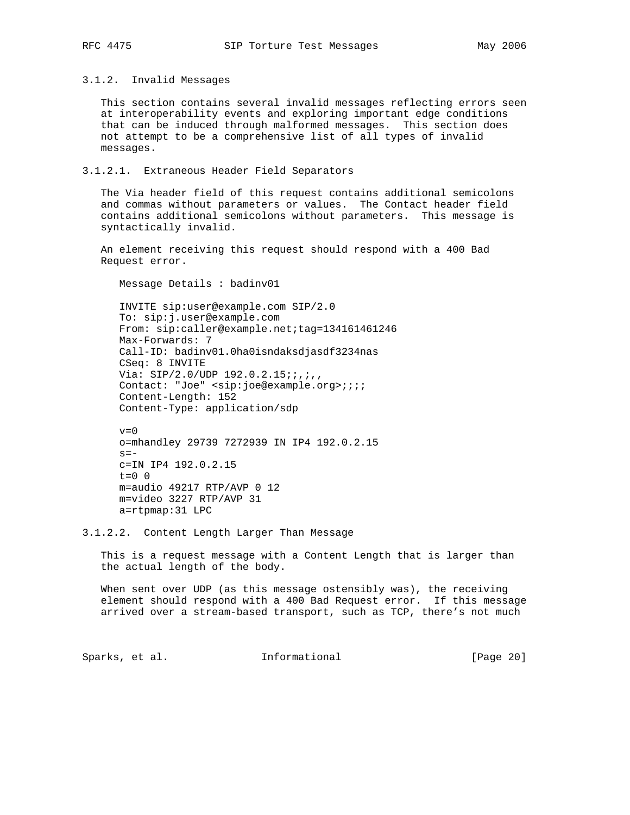3.1.2. Invalid Messages

 This section contains several invalid messages reflecting errors seen at interoperability events and exploring important edge conditions that can be induced through malformed messages. This section does not attempt to be a comprehensive list of all types of invalid messages.

# 3.1.2.1. Extraneous Header Field Separators

 The Via header field of this request contains additional semicolons and commas without parameters or values. The Contact header field contains additional semicolons without parameters. This message is syntactically invalid.

 An element receiving this request should respond with a 400 Bad Request error.

Message Details : badinv01

 INVITE sip:user@example.com SIP/2.0 To: sip:j.user@example.com From: sip:caller@example.net;tag=134161461246 Max-Forwards: 7 Call-ID: badinv01.0ha0isndaksdjasdf3234nas CSeq: 8 INVITE Via: SIP/2.0/UDP 192.0.2.15;;,;,, Contact: "Joe" <sip:joe@example.org>;;;; Content-Length: 152 Content-Type: application/sdp

 $v=0$  o=mhandley 29739 7272939 IN IP4 192.0.2.15  $s =$  c=IN IP4 192.0.2.15  $t=0$  0 m=audio 49217 RTP/AVP 0 12 m=video 3227 RTP/AVP 31 a=rtpmap:31 LPC

3.1.2.2. Content Length Larger Than Message

 This is a request message with a Content Length that is larger than the actual length of the body.

When sent over UDP (as this message ostensibly was), the receiving element should respond with a 400 Bad Request error. If this message arrived over a stream-based transport, such as TCP, there's not much

Sparks, et al. 1nformational [Page 20]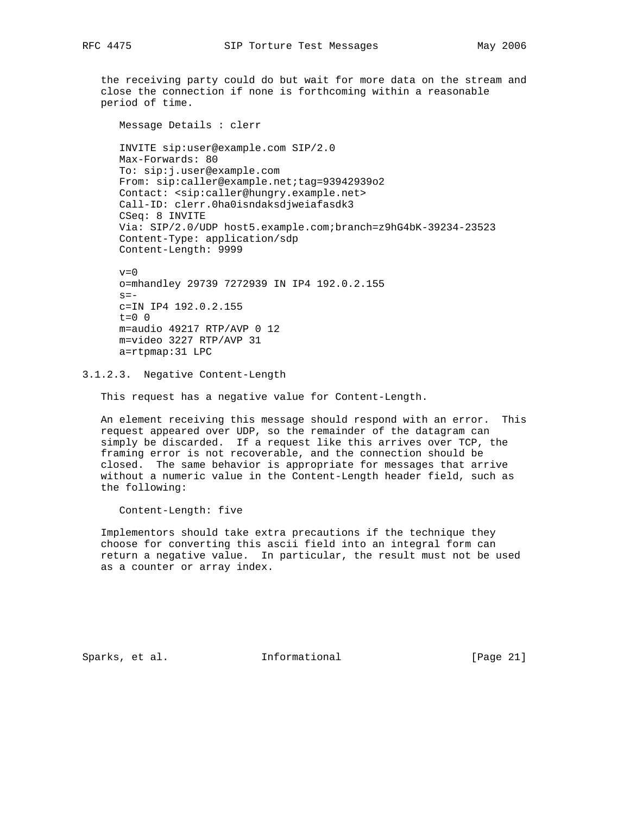the receiving party could do but wait for more data on the stream and close the connection if none is forthcoming within a reasonable period of time.

 Message Details : clerr INVITE sip:user@example.com SIP/2.0 Max-Forwards: 80 To: sip:j.user@example.com From: sip:caller@example.net;tag=93942939o2 Contact: <sip:caller@hungry.example.net> Call-ID: clerr.0ha0isndaksdjweiafasdk3 CSeq: 8 INVITE Via: SIP/2.0/UDP host5.example.com;branch=z9hG4bK-39234-23523 Content-Type: application/sdp Content-Length: 9999

 $v=0$  o=mhandley 29739 7272939 IN IP4 192.0.2.155  $s =$  c=IN IP4 192.0.2.155  $t=0$  0 m=audio 49217 RTP/AVP 0 12 m=video 3227 RTP/AVP 31 a=rtpmap:31 LPC

3.1.2.3. Negative Content-Length

This request has a negative value for Content-Length.

 An element receiving this message should respond with an error. This request appeared over UDP, so the remainder of the datagram can simply be discarded. If a request like this arrives over TCP, the framing error is not recoverable, and the connection should be closed. The same behavior is appropriate for messages that arrive without a numeric value in the Content-Length header field, such as the following:

Content-Length: five

 Implementors should take extra precautions if the technique they choose for converting this ascii field into an integral form can return a negative value. In particular, the result must not be used as a counter or array index.

Sparks, et al. **Informational** [Page 21]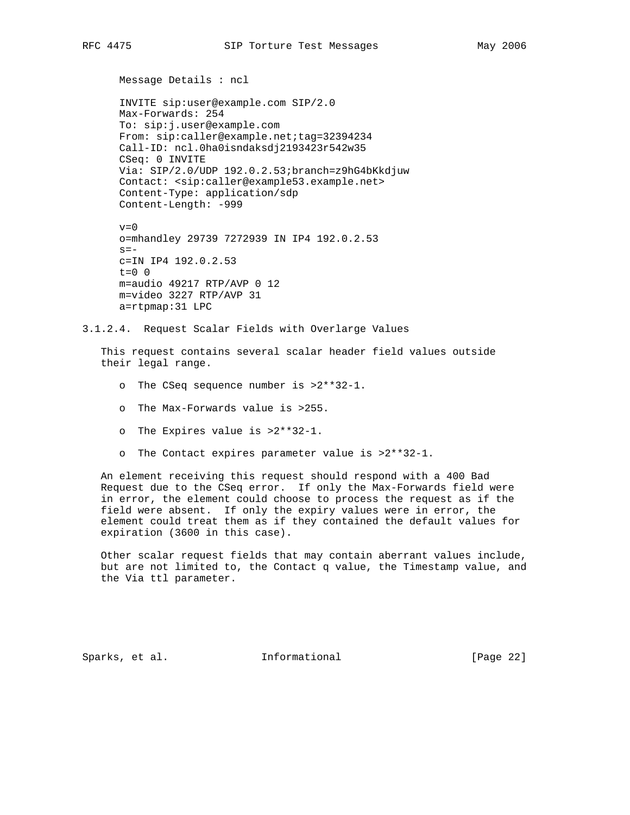```
 Message Details : ncl
```
 INVITE sip:user@example.com SIP/2.0 Max-Forwards: 254 To: sip:j.user@example.com From: sip:caller@example.net;tag=32394234 Call-ID: ncl.0ha0isndaksdj2193423r542w35 CSeq: 0 INVITE Via: SIP/2.0/UDP 192.0.2.53;branch=z9hG4bKkdjuw Contact: <sip:caller@example53.example.net> Content-Type: application/sdp Content-Length: -999

```
v=0 o=mhandley 29739 7272939 IN IP4 192.0.2.53
s=- c=IN IP4 192.0.2.53
t=0 0
 m=audio 49217 RTP/AVP 0 12
 m=video 3227 RTP/AVP 31
 a=rtpmap:31 LPC
```
3.1.2.4. Request Scalar Fields with Overlarge Values

 This request contains several scalar header field values outside their legal range.

- o The CSeq sequence number is >2\*\*32-1.
- o The Max-Forwards value is >255.
- o The Expires value is >2\*\*32-1.
- o The Contact expires parameter value is >2\*\*32-1.

 An element receiving this request should respond with a 400 Bad Request due to the CSeq error. If only the Max-Forwards field were in error, the element could choose to process the request as if the field were absent. If only the expiry values were in error, the element could treat them as if they contained the default values for expiration (3600 in this case).

 Other scalar request fields that may contain aberrant values include, but are not limited to, the Contact q value, the Timestamp value, and the Via ttl parameter.

Sparks, et al. **Informational** [Page 22]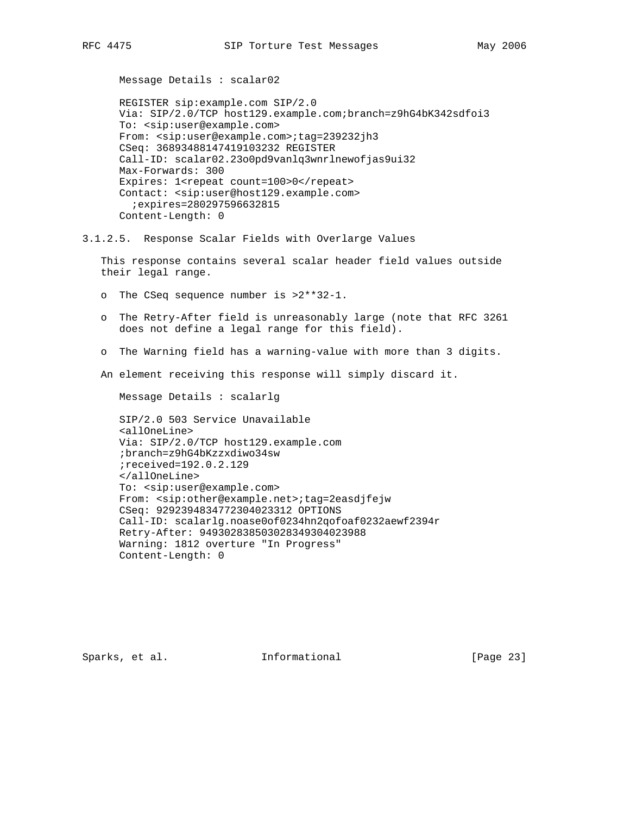Message Details : scalar02

 REGISTER sip:example.com SIP/2.0 Via: SIP/2.0/TCP host129.example.com;branch=z9hG4bK342sdfoi3 To: <sip:user@example.com> From: <sip:user@example.com>;tag=239232jh3 CSeq: 36893488147419103232 REGISTER Call-ID: scalar02.23o0pd9vanlq3wnrlnewofjas9ui32 Max-Forwards: 300 Expires: 1<repeat count=100>0</repeat> Contact: <sip:user@host129.example.com> ;expires=280297596632815 Content-Length: 0

3.1.2.5. Response Scalar Fields with Overlarge Values

 This response contains several scalar header field values outside their legal range.

- o The CSeq sequence number is >2\*\*32-1.
- o The Retry-After field is unreasonably large (note that RFC 3261 does not define a legal range for this field).
- o The Warning field has a warning-value with more than 3 digits.

An element receiving this response will simply discard it.

Message Details : scalarlg

 SIP/2.0 503 Service Unavailable <allOneLine> Via: SIP/2.0/TCP host129.example.com ;branch=z9hG4bKzzxdiwo34sw ;received=192.0.2.129 </allOneLine> To: <sip:user@example.com> From: <sip:other@example.net>;tag=2easdjfejw CSeq: 9292394834772304023312 OPTIONS Call-ID: scalarlg.noase0of0234hn2qofoaf0232aewf2394r Retry-After: 949302838503028349304023988 Warning: 1812 overture "In Progress" Content-Length: 0

Sparks, et al. **Informational** [Page 23]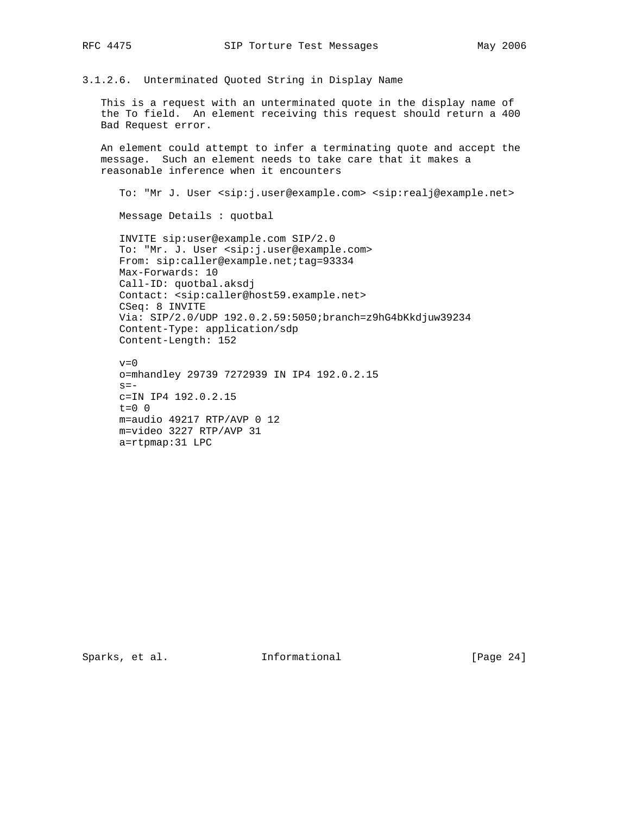3.1.2.6. Unterminated Quoted String in Display Name

 This is a request with an unterminated quote in the display name of the To field. An element receiving this request should return a 400 Bad Request error.

 An element could attempt to infer a terminating quote and accept the message. Such an element needs to take care that it makes a reasonable inference when it encounters

To: "Mr J. User <sip:j.user@example.com> <sip:realj@example.net>

Message Details : quotbal

 INVITE sip:user@example.com SIP/2.0 To: "Mr. J. User <sip:j.user@example.com> From: sip:caller@example.net;tag=93334 Max-Forwards: 10 Call-ID: quotbal.aksdj Contact: <sip:caller@host59.example.net> CSeq: 8 INVITE Via: SIP/2.0/UDP 192.0.2.59:5050;branch=z9hG4bKkdjuw39234 Content-Type: application/sdp Content-Length: 152

 $v=0$  o=mhandley 29739 7272939 IN IP4 192.0.2.15  $s =$  c=IN IP4 192.0.2.15  $t=0$  0 m=audio 49217 RTP/AVP 0 12 m=video 3227 RTP/AVP 31 a=rtpmap:31 LPC

Sparks, et al. 1nformational [Page 24]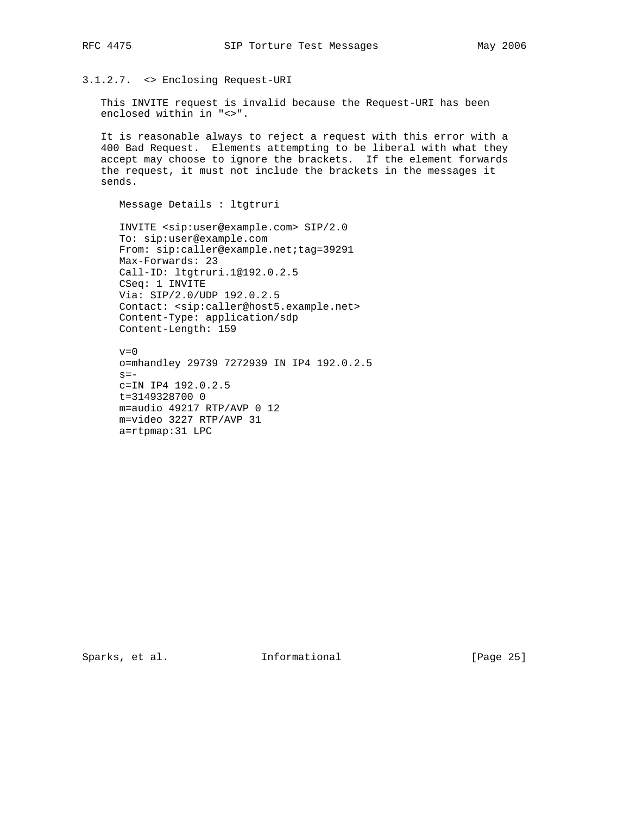# 3.1.2.7. <> Enclosing Request-URI

 This INVITE request is invalid because the Request-URI has been enclosed within in "<>".

 It is reasonable always to reject a request with this error with a 400 Bad Request. Elements attempting to be liberal with what they accept may choose to ignore the brackets. If the element forwards the request, it must not include the brackets in the messages it sends.

Message Details : ltgtruri

 INVITE <sip:user@example.com> SIP/2.0 To: sip:user@example.com From: sip:caller@example.net;tag=39291 Max-Forwards: 23 Call-ID: ltgtruri.1@192.0.2.5 CSeq: 1 INVITE Via: SIP/2.0/UDP 192.0.2.5 Contact: <sip:caller@host5.example.net> Content-Type: application/sdp Content-Length: 159

 $v=0$  o=mhandley 29739 7272939 IN IP4 192.0.2.5  $s=$  c=IN IP4 192.0.2.5 t=3149328700 0 m=audio 49217 RTP/AVP 0 12 m=video 3227 RTP/AVP 31 a=rtpmap:31 LPC

Sparks, et al. 1nformational [Page 25]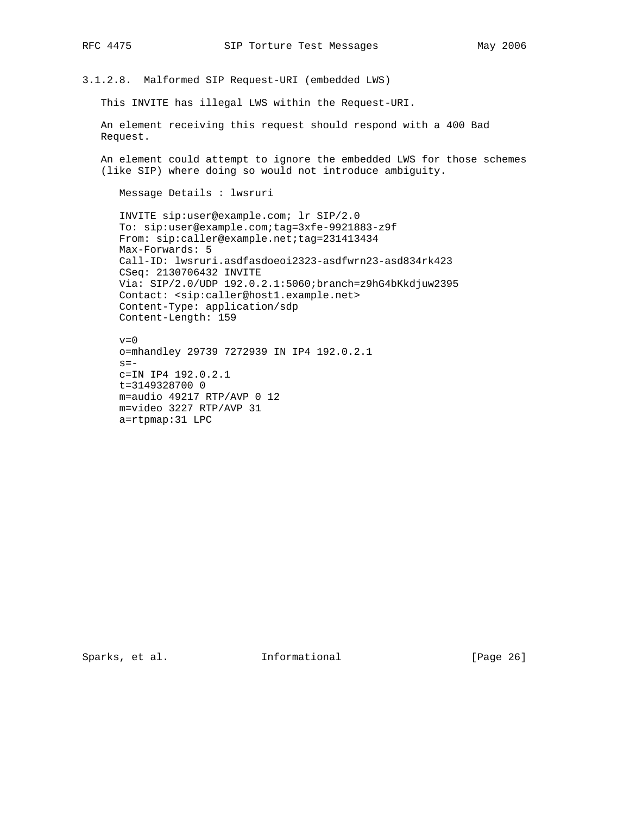3.1.2.8. Malformed SIP Request-URI (embedded LWS)

This INVITE has illegal LWS within the Request-URI.

 An element receiving this request should respond with a 400 Bad Request.

 An element could attempt to ignore the embedded LWS for those schemes (like SIP) where doing so would not introduce ambiguity.

Message Details : lwsruri

 INVITE sip:user@example.com; lr SIP/2.0 To: sip:user@example.com;tag=3xfe-9921883-z9f From: sip:caller@example.net;tag=231413434 Max-Forwards: 5 Call-ID: lwsruri.asdfasdoeoi2323-asdfwrn23-asd834rk423 CSeq: 2130706432 INVITE Via: SIP/2.0/UDP 192.0.2.1:5060;branch=z9hG4bKkdjuw2395 Contact: <sip:caller@host1.example.net> Content-Type: application/sdp Content-Length: 159

 $v=0$  o=mhandley 29739 7272939 IN IP4 192.0.2.1  $s =$  c=IN IP4 192.0.2.1 t=3149328700 0 m=audio 49217 RTP/AVP 0 12 m=video 3227 RTP/AVP 31 a=rtpmap:31 LPC

Sparks, et al. 1nformational [Page 26]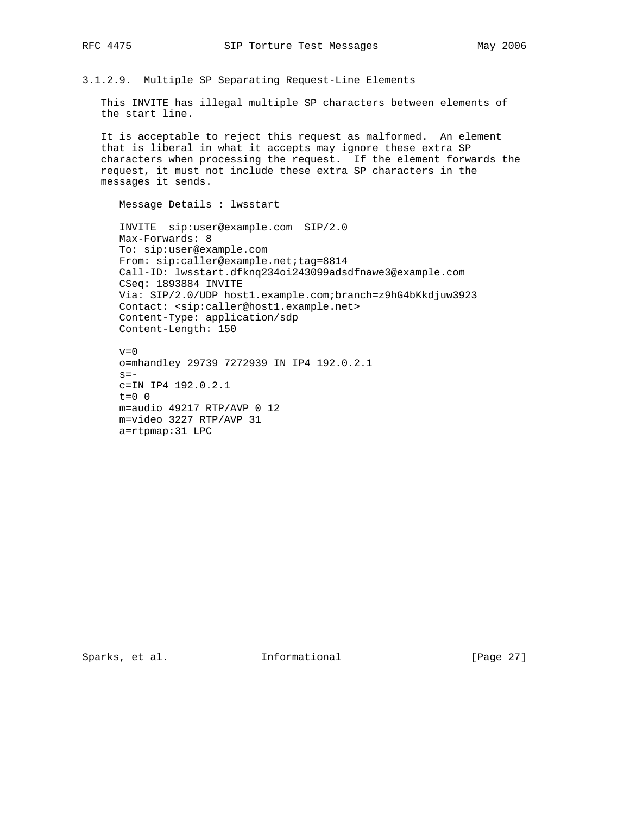3.1.2.9. Multiple SP Separating Request-Line Elements

 This INVITE has illegal multiple SP characters between elements of the start line.

 It is acceptable to reject this request as malformed. An element that is liberal in what it accepts may ignore these extra SP characters when processing the request. If the element forwards the request, it must not include these extra SP characters in the messages it sends.

Message Details : lwsstart

 INVITE sip:user@example.com SIP/2.0 Max-Forwards: 8 To: sip:user@example.com From: sip:caller@example.net;tag=8814 Call-ID: lwsstart.dfknq234oi243099adsdfnawe3@example.com CSeq: 1893884 INVITE Via: SIP/2.0/UDP host1.example.com;branch=z9hG4bKkdjuw3923 Contact: <sip:caller@host1.example.net> Content-Type: application/sdp Content-Length: 150

 $v=0$  o=mhandley 29739 7272939 IN IP4 192.0.2.1  $s=$  c=IN IP4 192.0.2.1  $t=0$  0 m=audio 49217 RTP/AVP 0 12 m=video 3227 RTP/AVP 31 a=rtpmap:31 LPC

Sparks, et al. 1nformational [Page 27]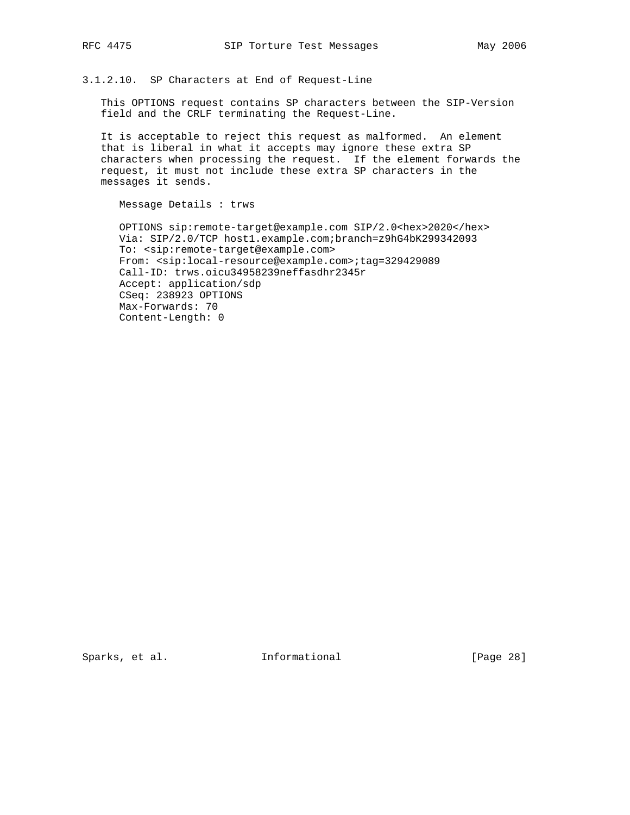3.1.2.10. SP Characters at End of Request-Line

 This OPTIONS request contains SP characters between the SIP-Version field and the CRLF terminating the Request-Line.

 It is acceptable to reject this request as malformed. An element that is liberal in what it accepts may ignore these extra SP characters when processing the request. If the element forwards the request, it must not include these extra SP characters in the messages it sends.

Message Details : trws

 OPTIONS sip:remote-target@example.com SIP/2.0<hex>2020</hex> Via: SIP/2.0/TCP host1.example.com;branch=z9hG4bK299342093 To: <sip:remote-target@example.com> From: <sip:local-resource@example.com>;tag=329429089 Call-ID: trws.oicu34958239neffasdhr2345r Accept: application/sdp CSeq: 238923 OPTIONS Max-Forwards: 70 Content-Length: 0

Sparks, et al. 1nformational [Page 28]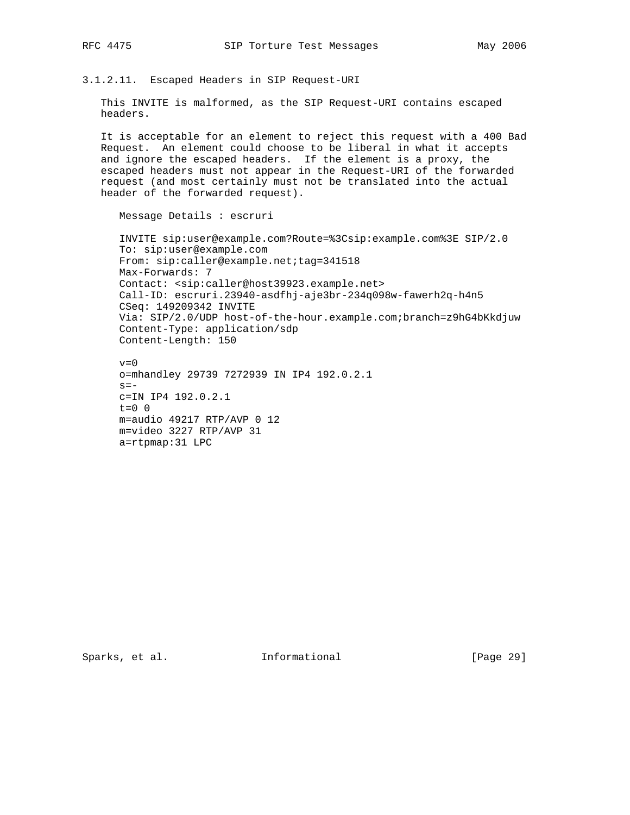3.1.2.11. Escaped Headers in SIP Request-URI

 This INVITE is malformed, as the SIP Request-URI contains escaped headers.

 It is acceptable for an element to reject this request with a 400 Bad Request. An element could choose to be liberal in what it accepts and ignore the escaped headers. If the element is a proxy, the escaped headers must not appear in the Request-URI of the forwarded request (and most certainly must not be translated into the actual header of the forwarded request).

Message Details : escruri

 INVITE sip:user@example.com?Route=%3Csip:example.com%3E SIP/2.0 To: sip:user@example.com From: sip:caller@example.net;tag=341518 Max-Forwards: 7 Contact: <sip:caller@host39923.example.net> Call-ID: escruri.23940-asdfhj-aje3br-234q098w-fawerh2q-h4n5 CSeq: 149209342 INVITE Via: SIP/2.0/UDP host-of-the-hour.example.com;branch=z9hG4bKkdjuw Content-Type: application/sdp Content-Length: 150

 $v=0$  o=mhandley 29739 7272939 IN IP4 192.0.2.1  $s =$  c=IN IP4 192.0.2.1  $t=0$  0 m=audio 49217 RTP/AVP 0 12 m=video 3227 RTP/AVP 31 a=rtpmap:31 LPC

Sparks, et al. 1nformational [Page 29]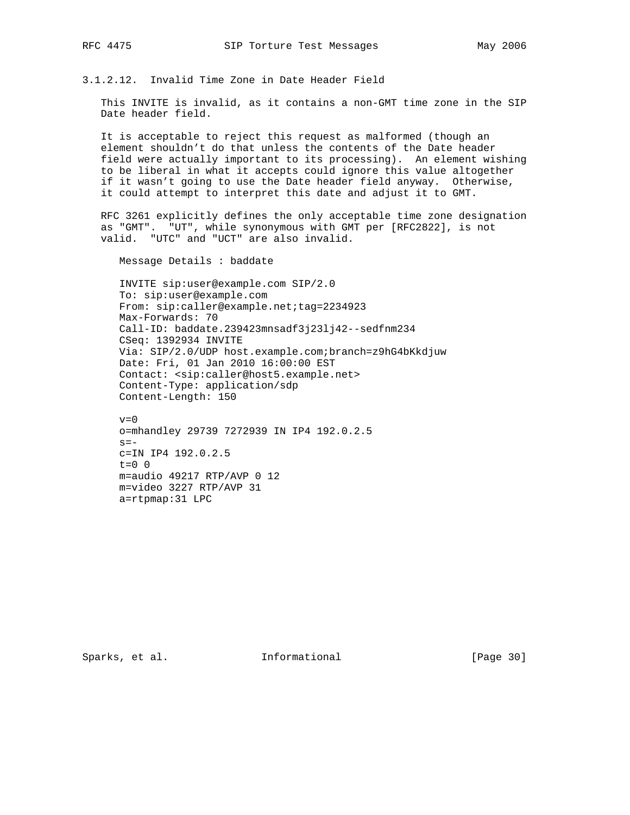3.1.2.12. Invalid Time Zone in Date Header Field

 This INVITE is invalid, as it contains a non-GMT time zone in the SIP Date header field.

 It is acceptable to reject this request as malformed (though an element shouldn't do that unless the contents of the Date header field were actually important to its processing). An element wishing to be liberal in what it accepts could ignore this value altogether if it wasn't going to use the Date header field anyway. Otherwise, it could attempt to interpret this date and adjust it to GMT.

 RFC 3261 explicitly defines the only acceptable time zone designation as "GMT". "UT", while synonymous with GMT per [RFC2822], is not valid. "UTC" and "UCT" are also invalid.

Message Details : baddate

 INVITE sip:user@example.com SIP/2.0 To: sip:user@example.com From: sip:caller@example.net;tag=2234923 Max-Forwards: 70 Call-ID: baddate.239423mnsadf3j23lj42--sedfnm234 CSeq: 1392934 INVITE Via: SIP/2.0/UDP host.example.com;branch=z9hG4bKkdjuw Date: Fri, 01 Jan 2010 16:00:00 EST Contact: <sip:caller@host5.example.net> Content-Type: application/sdp Content-Length: 150

 $v=0$  o=mhandley 29739 7272939 IN IP4 192.0.2.5  $s =$  c=IN IP4 192.0.2.5 t=0 0 m=audio 49217 RTP/AVP 0 12 m=video 3227 RTP/AVP 31 a=rtpmap:31 LPC

Sparks, et al. 1nformational [Page 30]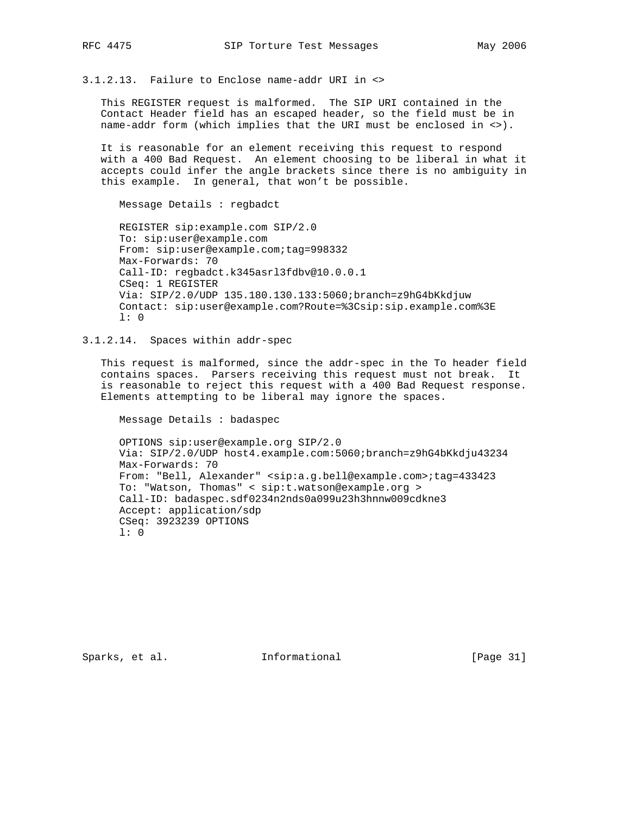3.1.2.13. Failure to Enclose name-addr URI in <>

 This REGISTER request is malformed. The SIP URI contained in the Contact Header field has an escaped header, so the field must be in name-addr form (which implies that the URI must be enclosed in <>).

 It is reasonable for an element receiving this request to respond with a 400 Bad Request. An element choosing to be liberal in what it accepts could infer the angle brackets since there is no ambiguity in this example. In general, that won't be possible.

Message Details : regbadct

 REGISTER sip:example.com SIP/2.0 To: sip:user@example.com From: sip:user@example.com;tag=998332 Max-Forwards: 70 Call-ID: regbadct.k345asrl3fdbv@10.0.0.1 CSeq: 1 REGISTER Via: SIP/2.0/UDP 135.180.130.133:5060;branch=z9hG4bKkdjuw Contact: sip:user@example.com?Route=%3Csip:sip.example.com%3E l: 0

3.1.2.14. Spaces within addr-spec

 This request is malformed, since the addr-spec in the To header field contains spaces. Parsers receiving this request must not break. It is reasonable to reject this request with a 400 Bad Request response. Elements attempting to be liberal may ignore the spaces.

Message Details : badaspec

 OPTIONS sip:user@example.org SIP/2.0 Via: SIP/2.0/UDP host4.example.com:5060;branch=z9hG4bKkdju43234 Max-Forwards: 70 From: "Bell, Alexander" <sip:a.g.bell@example.com>;tag=433423 To: "Watson, Thomas" < sip:t.watson@example.org > Call-ID: badaspec.sdf0234n2nds0a099u23h3hnnw009cdkne3 Accept: application/sdp CSeq: 3923239 OPTIONS l: 0

Sparks, et al. Informational [Page 31]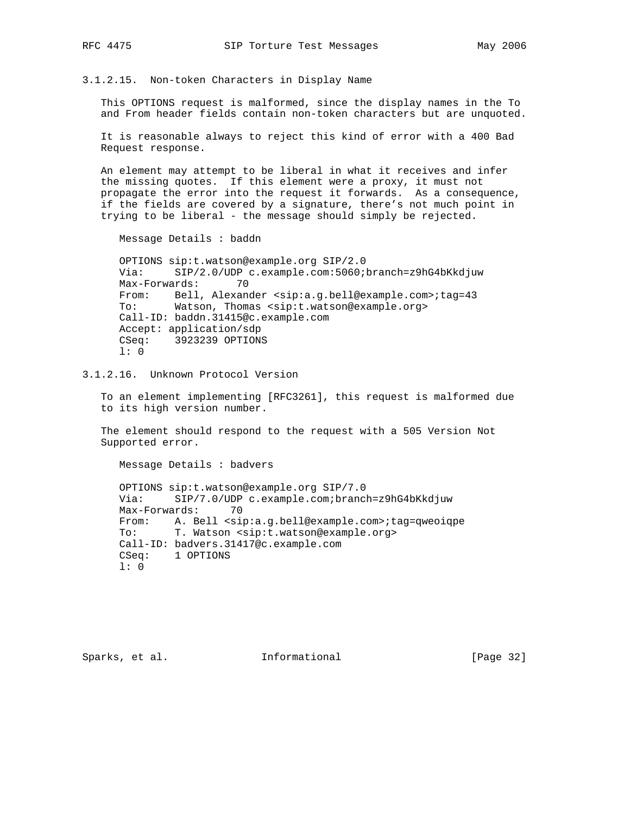3.1.2.15. Non-token Characters in Display Name

 This OPTIONS request is malformed, since the display names in the To and From header fields contain non-token characters but are unquoted.

 It is reasonable always to reject this kind of error with a 400 Bad Request response.

 An element may attempt to be liberal in what it receives and infer the missing quotes. If this element were a proxy, it must not propagate the error into the request it forwards. As a consequence, if the fields are covered by a signature, there's not much point in trying to be liberal - the message should simply be rejected.

Message Details : baddn

 OPTIONS sip:t.watson@example.org SIP/2.0 Via: SIP/2.0/UDP c.example.com:5060;branch=z9hG4bKkdjuw Max-Forwards: 70 From: Bell, Alexander <sip:a.g.bell@example.com>;tag=43 To: Watson, Thomas <sip:t.watson@example.org> Call-ID: baddn.31415@c.example.com Accept: application/sdp CSeq: 3923239 OPTIONS l: 0

3.1.2.16. Unknown Protocol Version

 To an element implementing [RFC3261], this request is malformed due to its high version number.

 The element should respond to the request with a 505 Version Not Supported error.

 Message Details : badvers OPTIONS sip:t.watson@example.org SIP/7.0 Via: SIP/7.0/UDP c.example.com;branch=z9hG4bKkdjuw Max-Forwards: 70 From: A. Bell <sip:a.g.bell@example.com>;tag=qweoiqpe To: T. Watson <sip:t.watson@example.org> Call-ID: badvers.31417@c.example.com CSeq: 1 OPTIONS l: 0

Sparks, et al. **Informational** [Page 32]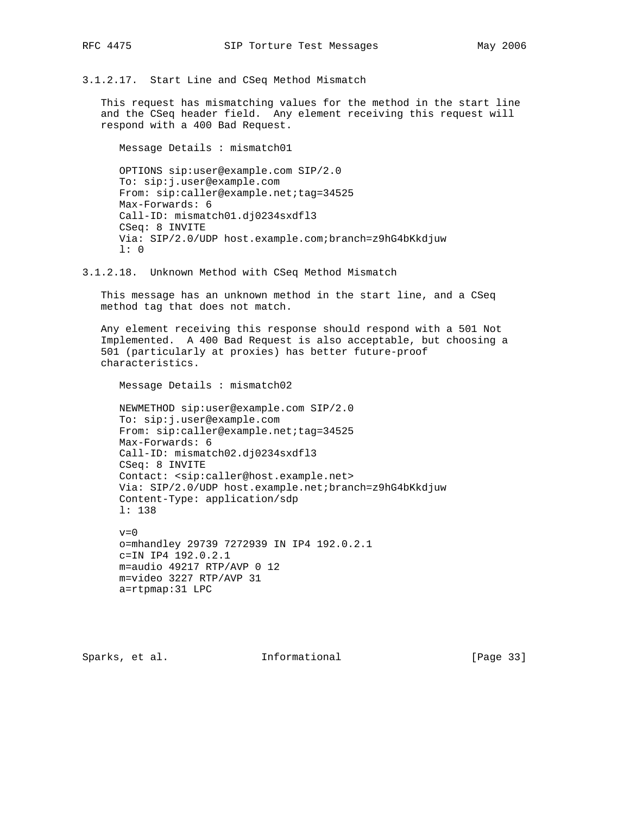3.1.2.17. Start Line and CSeq Method Mismatch

 This request has mismatching values for the method in the start line and the CSeq header field. Any element receiving this request will respond with a 400 Bad Request.

 Message Details : mismatch01 OPTIONS sip:user@example.com SIP/2.0 To: sip:j.user@example.com From: sip:caller@example.net;tag=34525 Max-Forwards: 6 Call-ID: mismatch01.dj0234sxdfl3 CSeq: 8 INVITE Via: SIP/2.0/UDP host.example.com;branch=z9hG4bKkdjuw l: 0

3.1.2.18. Unknown Method with CSeq Method Mismatch

 This message has an unknown method in the start line, and a CSeq method tag that does not match.

 Any element receiving this response should respond with a 501 Not Implemented. A 400 Bad Request is also acceptable, but choosing a 501 (particularly at proxies) has better future-proof characteristics.

Message Details : mismatch02

 NEWMETHOD sip:user@example.com SIP/2.0 To: sip:j.user@example.com From: sip:caller@example.net;tag=34525 Max-Forwards: 6 Call-ID: mismatch02.dj0234sxdfl3 CSeq: 8 INVITE Contact: <sip:caller@host.example.net> Via: SIP/2.0/UDP host.example.net;branch=z9hG4bKkdjuw Content-Type: application/sdp l: 138  $v=0$ 

 o=mhandley 29739 7272939 IN IP4 192.0.2.1 c=IN IP4 192.0.2.1 m=audio 49217 RTP/AVP 0 12 m=video 3227 RTP/AVP 31 a=rtpmap:31 LPC

Sparks, et al. **Informational** [Page 33]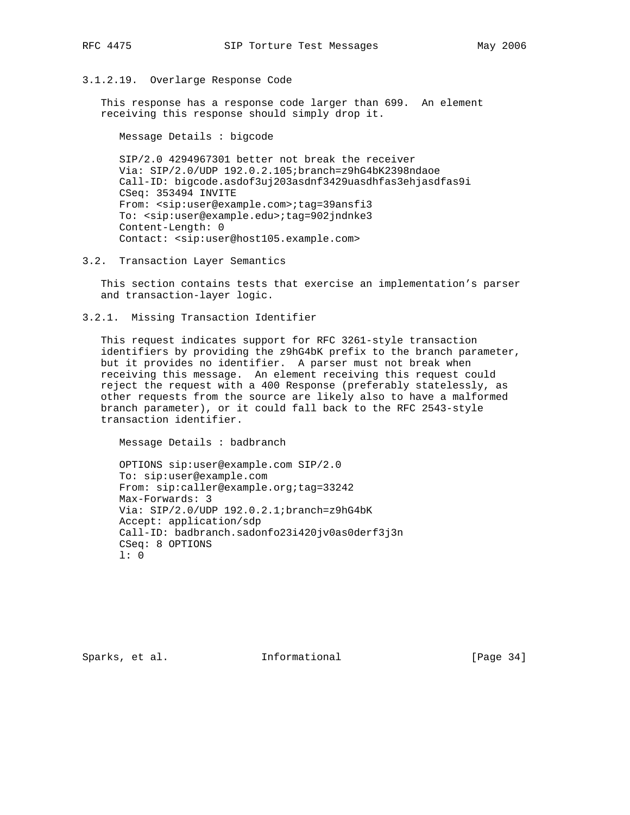## 3.1.2.19. Overlarge Response Code

 This response has a response code larger than 699. An element receiving this response should simply drop it.

Message Details : bigcode

 SIP/2.0 4294967301 better not break the receiver Via: SIP/2.0/UDP 192.0.2.105;branch=z9hG4bK2398ndaoe Call-ID: bigcode.asdof3uj203asdnf3429uasdhfas3ehjasdfas9i CSeq: 353494 INVITE From: <sip:user@example.com>;tag=39ansfi3 To: <sip:user@example.edu>;tag=902jndnke3 Content-Length: 0 Contact: <sip:user@host105.example.com>

3.2. Transaction Layer Semantics

 This section contains tests that exercise an implementation's parser and transaction-layer logic.

3.2.1. Missing Transaction Identifier

 This request indicates support for RFC 3261-style transaction identifiers by providing the z9hG4bK prefix to the branch parameter, but it provides no identifier. A parser must not break when receiving this message. An element receiving this request could reject the request with a 400 Response (preferably statelessly, as other requests from the source are likely also to have a malformed branch parameter), or it could fall back to the RFC 2543-style transaction identifier.

Message Details : badbranch

 OPTIONS sip:user@example.com SIP/2.0 To: sip:user@example.com From: sip:caller@example.org;tag=33242 Max-Forwards: 3 Via: SIP/2.0/UDP 192.0.2.1;branch=z9hG4bK Accept: application/sdp Call-ID: badbranch.sadonfo23i420jv0as0derf3j3n CSeq: 8 OPTIONS l: 0

Sparks, et al. **Informational** [Page 34]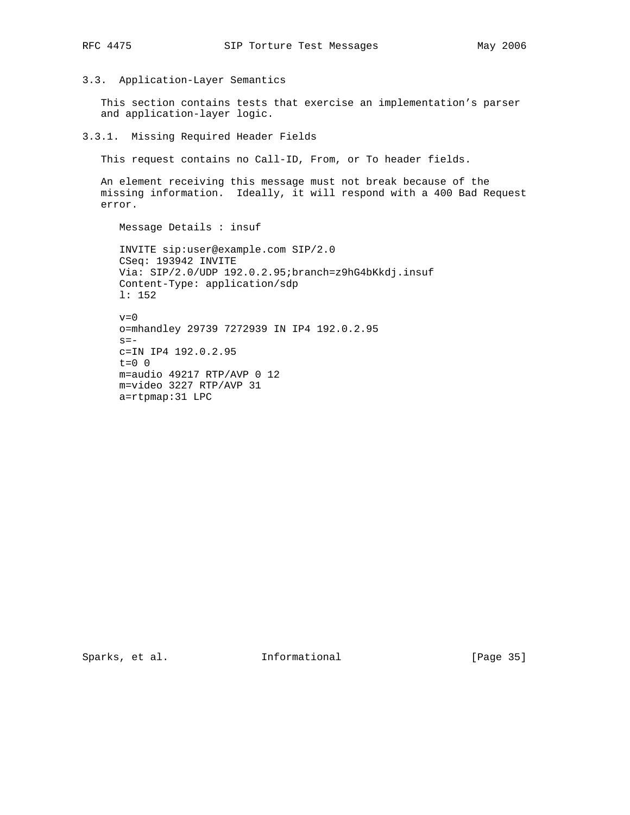3.3. Application-Layer Semantics

 This section contains tests that exercise an implementation's parser and application-layer logic.

3.3.1. Missing Required Header Fields

This request contains no Call-ID, From, or To header fields.

 An element receiving this message must not break because of the missing information. Ideally, it will respond with a 400 Bad Request error.

Message Details : insuf

 INVITE sip:user@example.com SIP/2.0 CSeq: 193942 INVITE Via: SIP/2.0/UDP 192.0.2.95;branch=z9hG4bKkdj.insuf Content-Type: application/sdp l: 152

 $v=0$  o=mhandley 29739 7272939 IN IP4 192.0.2.95  $s=$  c=IN IP4 192.0.2.95 t=0 0 m=audio 49217 RTP/AVP 0 12 m=video 3227 RTP/AVP 31 a=rtpmap:31 LPC

Sparks, et al. 1nformational [Page 35]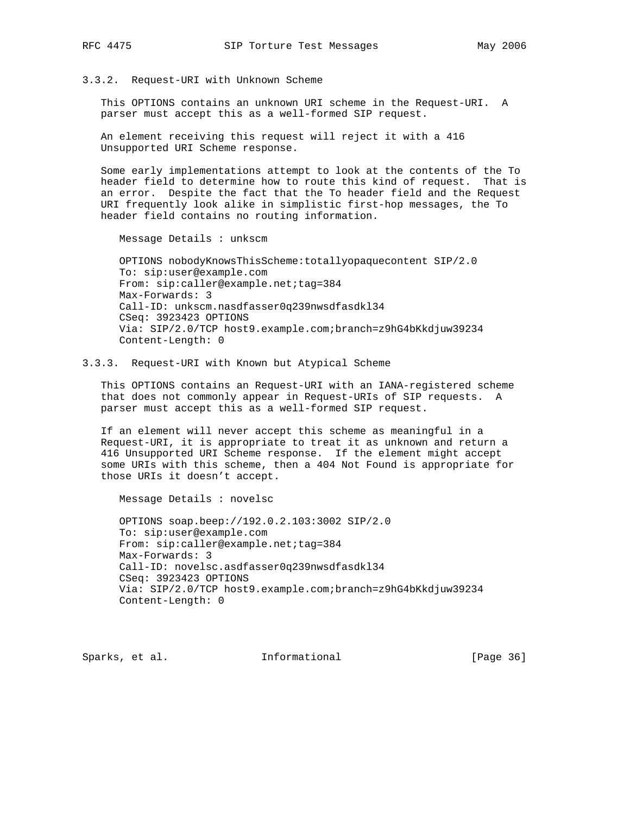## 3.3.2. Request-URI with Unknown Scheme

 This OPTIONS contains an unknown URI scheme in the Request-URI. A parser must accept this as a well-formed SIP request.

 An element receiving this request will reject it with a 416 Unsupported URI Scheme response.

 Some early implementations attempt to look at the contents of the To header field to determine how to route this kind of request. That is an error. Despite the fact that the To header field and the Request URI frequently look alike in simplistic first-hop messages, the To header field contains no routing information.

Message Details : unkscm

Message Details : novelsc

 OPTIONS nobodyKnowsThisScheme:totallyopaquecontent SIP/2.0 To: sip:user@example.com From: sip:caller@example.net;tag=384 Max-Forwards: 3 Call-ID: unkscm.nasdfasser0q239nwsdfasdkl34 CSeq: 3923423 OPTIONS Via: SIP/2.0/TCP host9.example.com;branch=z9hG4bKkdjuw39234 Content-Length: 0

### 3.3.3. Request-URI with Known but Atypical Scheme

 This OPTIONS contains an Request-URI with an IANA-registered scheme that does not commonly appear in Request-URIs of SIP requests. A parser must accept this as a well-formed SIP request.

 If an element will never accept this scheme as meaningful in a Request-URI, it is appropriate to treat it as unknown and return a 416 Unsupported URI Scheme response. If the element might accept some URIs with this scheme, then a 404 Not Found is appropriate for those URIs it doesn't accept.

 OPTIONS soap.beep://192.0.2.103:3002 SIP/2.0 To: sip:user@example.com From: sip:caller@example.net;tag=384 Max-Forwards: 3 Call-ID: novelsc.asdfasser0q239nwsdfasdkl34 CSeq: 3923423 OPTIONS Via: SIP/2.0/TCP host9.example.com;branch=z9hG4bKkdjuw39234 Content-Length: 0

Sparks, et al. **Informational** [Page 36]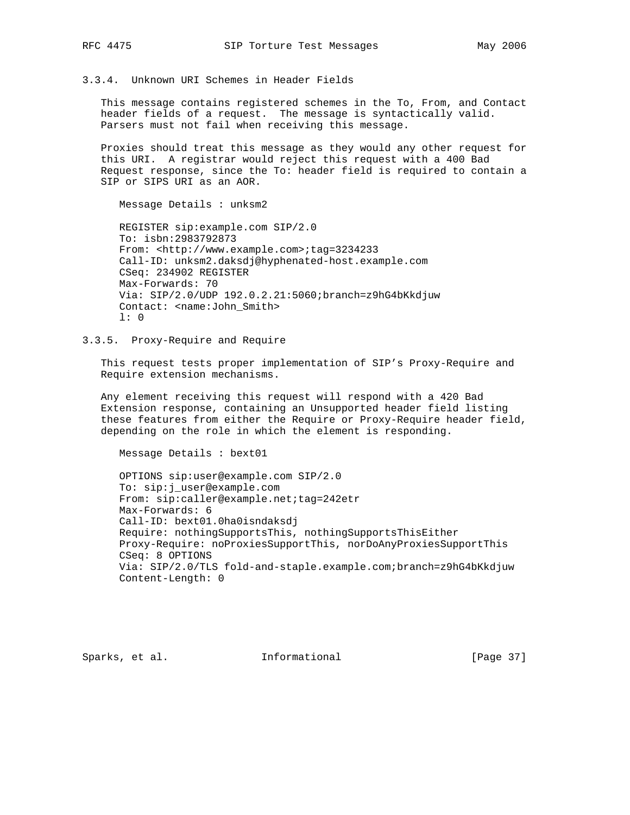3.3.4. Unknown URI Schemes in Header Fields

 This message contains registered schemes in the To, From, and Contact header fields of a request. The message is syntactically valid. Parsers must not fail when receiving this message.

 Proxies should treat this message as they would any other request for this URI. A registrar would reject this request with a 400 Bad Request response, since the To: header field is required to contain a SIP or SIPS URI as an AOR.

 REGISTER sip:example.com SIP/2.0 To: isbn:2983792873 From: <http://www.example.com>;tag=3234233 Call-ID: unksm2.daksdj@hyphenated-host.example.com CSeq: 234902 REGISTER Max-Forwards: 70 Via: SIP/2.0/UDP 192.0.2.21:5060;branch=z9hG4bKkdjuw Contact: <name:John\_Smith> l: 0

3.3.5. Proxy-Require and Require

Message Details : unksm2

 This request tests proper implementation of SIP's Proxy-Require and Require extension mechanisms.

 Any element receiving this request will respond with a 420 Bad Extension response, containing an Unsupported header field listing these features from either the Require or Proxy-Require header field, depending on the role in which the element is responding.

Message Details : bext01

 OPTIONS sip:user@example.com SIP/2.0 To: sip:j\_user@example.com From: sip:caller@example.net;tag=242etr Max-Forwards: 6 Call-ID: bext01.0ha0isndaksdj Require: nothingSupportsThis, nothingSupportsThisEither Proxy-Require: noProxiesSupportThis, norDoAnyProxiesSupportThis CSeq: 8 OPTIONS Via: SIP/2.0/TLS fold-and-staple.example.com;branch=z9hG4bKkdjuw Content-Length: 0

Sparks, et al. **Informational** [Page 37]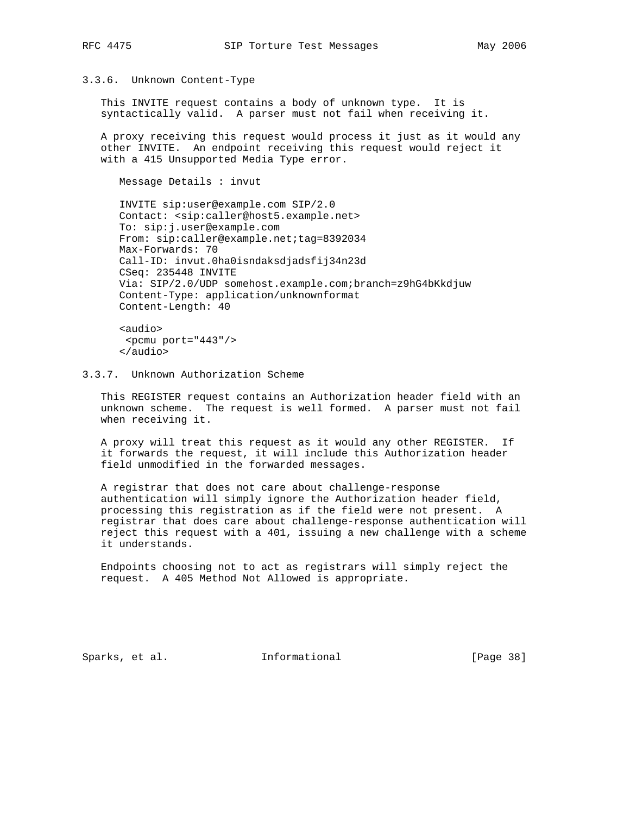# 3.3.6. Unknown Content-Type

 This INVITE request contains a body of unknown type. It is syntactically valid. A parser must not fail when receiving it.

 A proxy receiving this request would process it just as it would any other INVITE. An endpoint receiving this request would reject it with a 415 Unsupported Media Type error.

Message Details : invut

 INVITE sip:user@example.com SIP/2.0 Contact: <sip:caller@host5.example.net> To: sip:j.user@example.com From: sip:caller@example.net;tag=8392034 Max-Forwards: 70 Call-ID: invut.0ha0isndaksdjadsfij34n23d CSeq: 235448 INVITE Via: SIP/2.0/UDP somehost.example.com;branch=z9hG4bKkdjuw Content-Type: application/unknownformat Content-Length: 40

 <audio>  $<$ pcmu port="443"/> </audio>

3.3.7. Unknown Authorization Scheme

 This REGISTER request contains an Authorization header field with an unknown scheme. The request is well formed. A parser must not fail when receiving it.

 A proxy will treat this request as it would any other REGISTER. If it forwards the request, it will include this Authorization header field unmodified in the forwarded messages.

 A registrar that does not care about challenge-response authentication will simply ignore the Authorization header field, processing this registration as if the field were not present. A registrar that does care about challenge-response authentication will reject this request with a 401, issuing a new challenge with a scheme it understands.

 Endpoints choosing not to act as registrars will simply reject the request. A 405 Method Not Allowed is appropriate.

Sparks, et al. **Informational** [Page 38]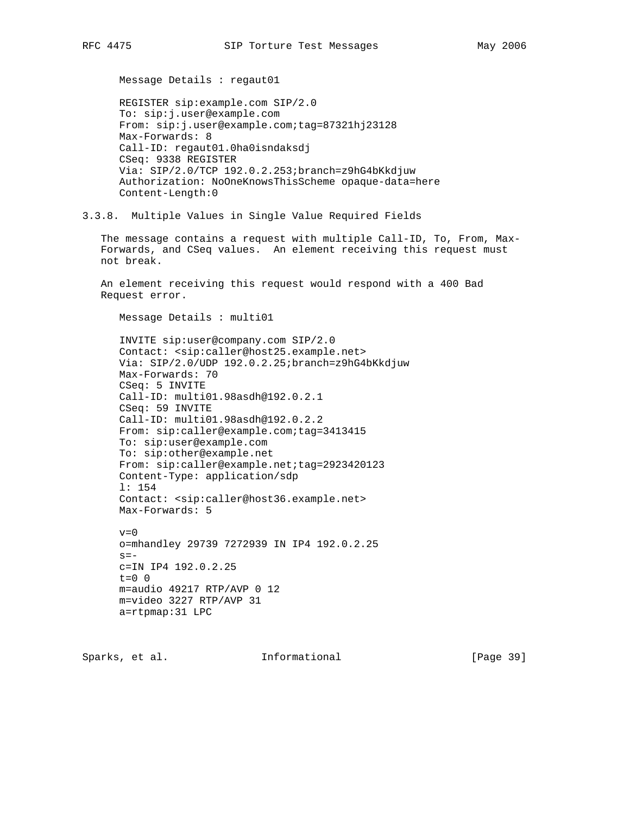Message Details : regaut01

 REGISTER sip:example.com SIP/2.0 To: sip:j.user@example.com From: sip:j.user@example.com;tag=87321hj23128 Max-Forwards: 8 Call-ID: regaut01.0ha0isndaksdj CSeq: 9338 REGISTER Via: SIP/2.0/TCP 192.0.2.253;branch=z9hG4bKkdjuw Authorization: NoOneKnowsThisScheme opaque-data=here Content-Length:0

3.3.8. Multiple Values in Single Value Required Fields

 The message contains a request with multiple Call-ID, To, From, Max- Forwards, and CSeq values. An element receiving this request must not break.

 An element receiving this request would respond with a 400 Bad Request error.

Message Details : multi01

 INVITE sip:user@company.com SIP/2.0 Contact: <sip:caller@host25.example.net> Via: SIP/2.0/UDP 192.0.2.25;branch=z9hG4bKkdjuw Max-Forwards: 70 CSeq: 5 INVITE Call-ID: multi01.98asdh@192.0.2.1 CSeq: 59 INVITE Call-ID: multi01.98asdh@192.0.2.2 From: sip:caller@example.com;tag=3413415 To: sip:user@example.com To: sip:other@example.net From: sip:caller@example.net;tag=2923420123 Content-Type: application/sdp l: 154 Contact: <sip:caller@host36.example.net> Max-Forwards: 5  $v=0$ 

 o=mhandley 29739 7272939 IN IP4 192.0.2.25  $s =$  c=IN IP4 192.0.2.25  $t=0$  0 m=audio 49217 RTP/AVP 0 12 m=video 3227 RTP/AVP 31 a=rtpmap:31 LPC

Sparks, et al. **Informational** [Page 39]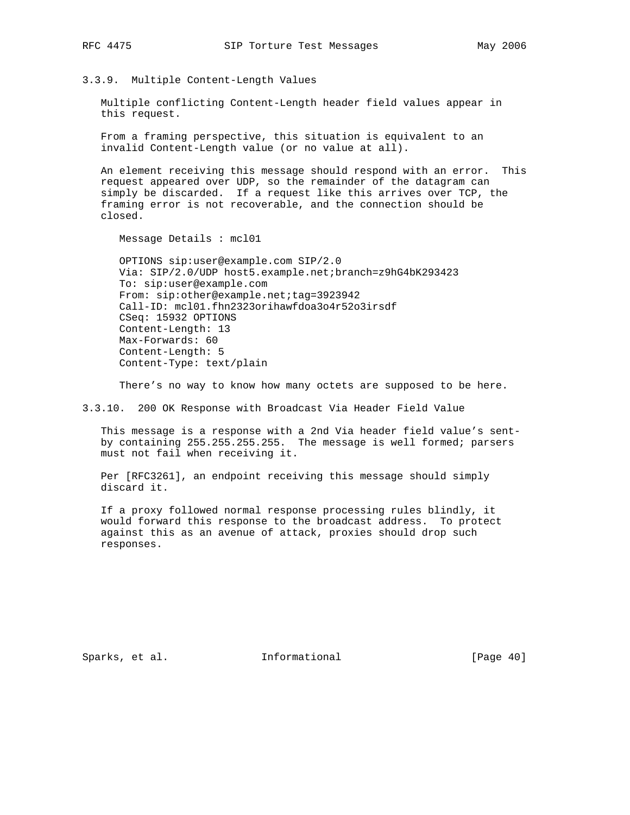# 3.3.9. Multiple Content-Length Values

 Multiple conflicting Content-Length header field values appear in this request.

 From a framing perspective, this situation is equivalent to an invalid Content-Length value (or no value at all).

 An element receiving this message should respond with an error. This request appeared over UDP, so the remainder of the datagram can simply be discarded. If a request like this arrives over TCP, the framing error is not recoverable, and the connection should be closed.

Message Details : mcl01

 OPTIONS sip:user@example.com SIP/2.0 Via: SIP/2.0/UDP host5.example.net;branch=z9hG4bK293423 To: sip:user@example.com From: sip:other@example.net;tag=3923942 Call-ID: mcl01.fhn2323orihawfdoa3o4r52o3irsdf CSeq: 15932 OPTIONS Content-Length: 13 Max-Forwards: 60 Content-Length: 5 Content-Type: text/plain

There's no way to know how many octets are supposed to be here.

3.3.10. 200 OK Response with Broadcast Via Header Field Value

 This message is a response with a 2nd Via header field value's sent by containing 255.255.255.255. The message is well formed; parsers must not fail when receiving it.

 Per [RFC3261], an endpoint receiving this message should simply discard it.

 If a proxy followed normal response processing rules blindly, it would forward this response to the broadcast address. To protect against this as an avenue of attack, proxies should drop such responses.

Sparks, et al. **Informational** [Page 40]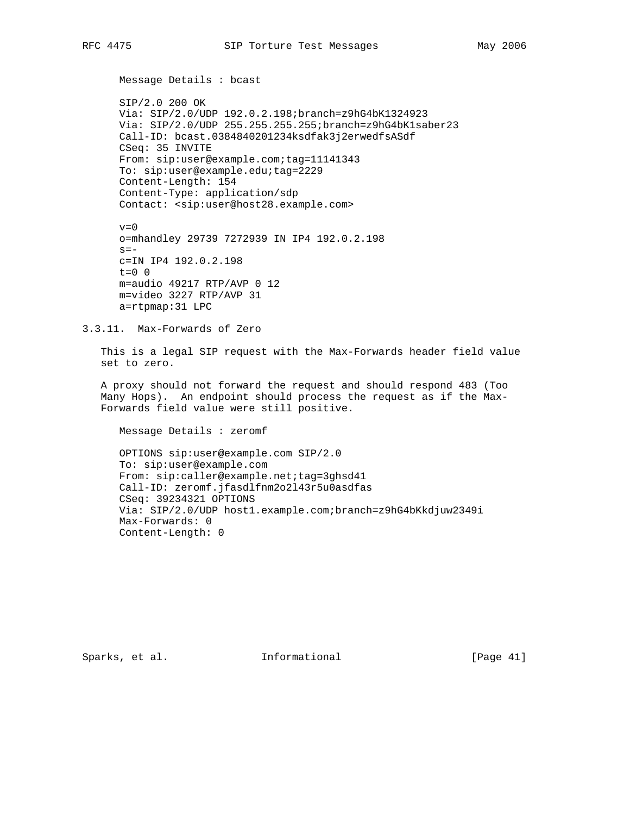Message Details : bcast

 SIP/2.0 200 OK Via: SIP/2.0/UDP 192.0.2.198;branch=z9hG4bK1324923 Via: SIP/2.0/UDP 255.255.255.255;branch=z9hG4bK1saber23 Call-ID: bcast.0384840201234ksdfak3j2erwedfsASdf CSeq: 35 INVITE From: sip:user@example.com;tag=11141343 To: sip:user@example.edu;tag=2229 Content-Length: 154 Content-Type: application/sdp Contact: <sip:user@host28.example.com>

 $v=0$  o=mhandley 29739 7272939 IN IP4 192.0.2.198  $s=$  c=IN IP4 192.0.2.198  $t=0$  0 m=audio 49217 RTP/AVP 0 12 m=video 3227 RTP/AVP 31 a=rtpmap:31 LPC

3.3.11. Max-Forwards of Zero

 This is a legal SIP request with the Max-Forwards header field value set to zero.

 A proxy should not forward the request and should respond 483 (Too Many Hops). An endpoint should process the request as if the Max- Forwards field value were still positive.

Message Details : zeromf

 OPTIONS sip:user@example.com SIP/2.0 To: sip:user@example.com From: sip:caller@example.net;tag=3ghsd41 Call-ID: zeromf.jfasdlfnm2o2l43r5u0asdfas CSeq: 39234321 OPTIONS Via: SIP/2.0/UDP host1.example.com;branch=z9hG4bKkdjuw2349i Max-Forwards: 0 Content-Length: 0

Sparks, et al. **Informational** [Page 41]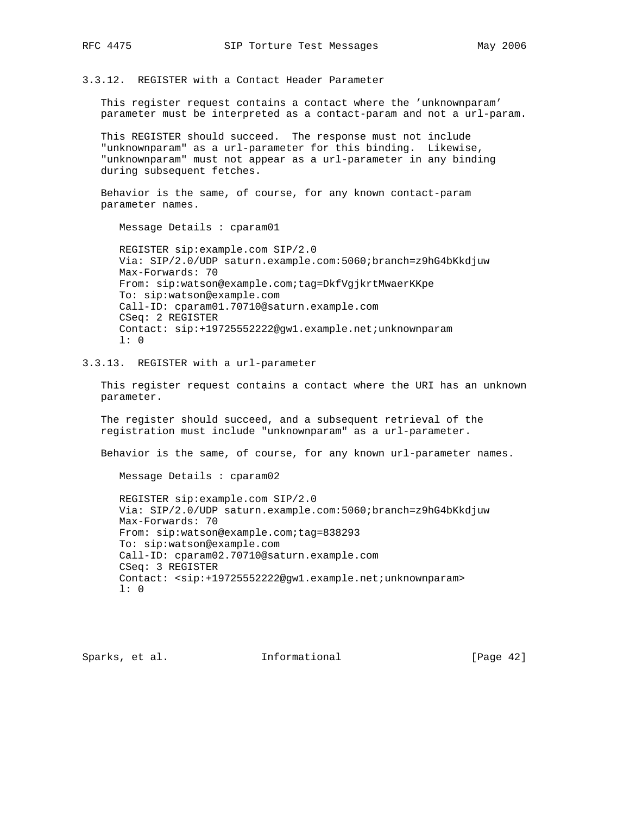3.3.12. REGISTER with a Contact Header Parameter

 This register request contains a contact where the 'unknownparam' parameter must be interpreted as a contact-param and not a url-param.

 This REGISTER should succeed. The response must not include "unknownparam" as a url-parameter for this binding. Likewise, "unknownparam" must not appear as a url-parameter in any binding during subsequent fetches.

 Behavior is the same, of course, for any known contact-param parameter names.

Message Details : cparam01

 REGISTER sip:example.com SIP/2.0 Via: SIP/2.0/UDP saturn.example.com:5060;branch=z9hG4bKkdjuw Max-Forwards: 70 From: sip:watson@example.com;tag=DkfVgjkrtMwaerKKpe To: sip:watson@example.com Call-ID: cparam01.70710@saturn.example.com CSeq: 2 REGISTER Contact: sip:+19725552222@gw1.example.net;unknownparam l: 0

3.3.13. REGISTER with a url-parameter

 This register request contains a contact where the URI has an unknown parameter.

 The register should succeed, and a subsequent retrieval of the registration must include "unknownparam" as a url-parameter.

Behavior is the same, of course, for any known url-parameter names.

Message Details : cparam02

 REGISTER sip:example.com SIP/2.0 Via: SIP/2.0/UDP saturn.example.com:5060;branch=z9hG4bKkdjuw Max-Forwards: 70 From: sip:watson@example.com;tag=838293 To: sip:watson@example.com Call-ID: cparam02.70710@saturn.example.com CSeq: 3 REGISTER Contact: <sip:+19725552222@gw1.example.net;unknownparam> l: 0

Sparks, et al. **Informational** [Page 42]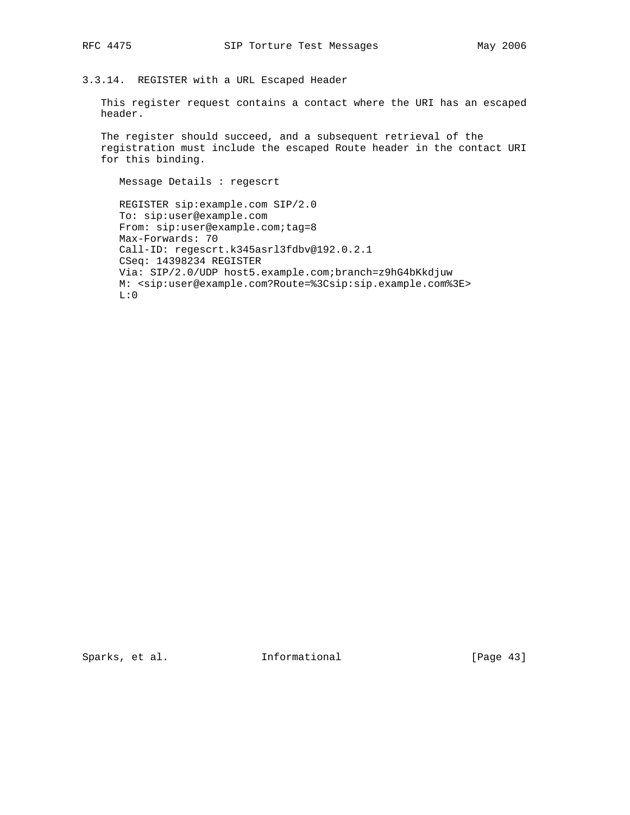# 3.3.14. REGISTER with a URL Escaped Header

 This register request contains a contact where the URI has an escaped header.

 The register should succeed, and a subsequent retrieval of the registration must include the escaped Route header in the contact URI for this binding.

Message Details : regescrt

 REGISTER sip:example.com SIP/2.0 To: sip:user@example.com From: sip:user@example.com;tag=8 Max-Forwards: 70 Call-ID: regescrt.k345asrl3fdbv@192.0.2.1 CSeq: 14398234 REGISTER Via: SIP/2.0/UDP host5.example.com;branch=z9hG4bKkdjuw M: <sip:user@example.com?Route=%3Csip:sip.example.com%3E>  $L:0$ 

Sparks, et al. 1nformational [Page 43]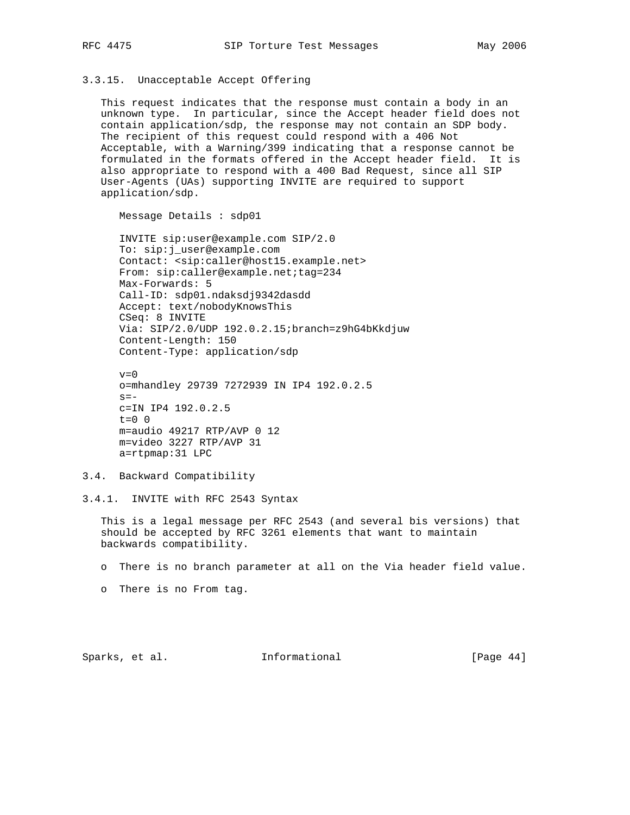## 3.3.15. Unacceptable Accept Offering

 This request indicates that the response must contain a body in an unknown type. In particular, since the Accept header field does not contain application/sdp, the response may not contain an SDP body. The recipient of this request could respond with a 406 Not Acceptable, with a Warning/399 indicating that a response cannot be formulated in the formats offered in the Accept header field. It is also appropriate to respond with a 400 Bad Request, since all SIP User-Agents (UAs) supporting INVITE are required to support application/sdp.

Message Details : sdp01

 INVITE sip:user@example.com SIP/2.0 To: sip:j\_user@example.com Contact: <sip:caller@host15.example.net> From: sip:caller@example.net;tag=234 Max-Forwards: 5 Call-ID: sdp01.ndaksdj9342dasdd Accept: text/nobodyKnowsThis CSeq: 8 INVITE Via: SIP/2.0/UDP 192.0.2.15;branch=z9hG4bKkdjuw Content-Length: 150 Content-Type: application/sdp

 $v=0$  o=mhandley 29739 7272939 IN IP4 192.0.2.5  $s =$  c=IN IP4 192.0.2.5  $t=0$  0 m=audio 49217 RTP/AVP 0 12 m=video 3227 RTP/AVP 31 a=rtpmap:31 LPC

3.4. Backward Compatibility

3.4.1. INVITE with RFC 2543 Syntax

 This is a legal message per RFC 2543 (and several bis versions) that should be accepted by RFC 3261 elements that want to maintain backwards compatibility.

o There is no branch parameter at all on the Via header field value.

o There is no From tag.

Sparks, et al. **Informational** [Page 44]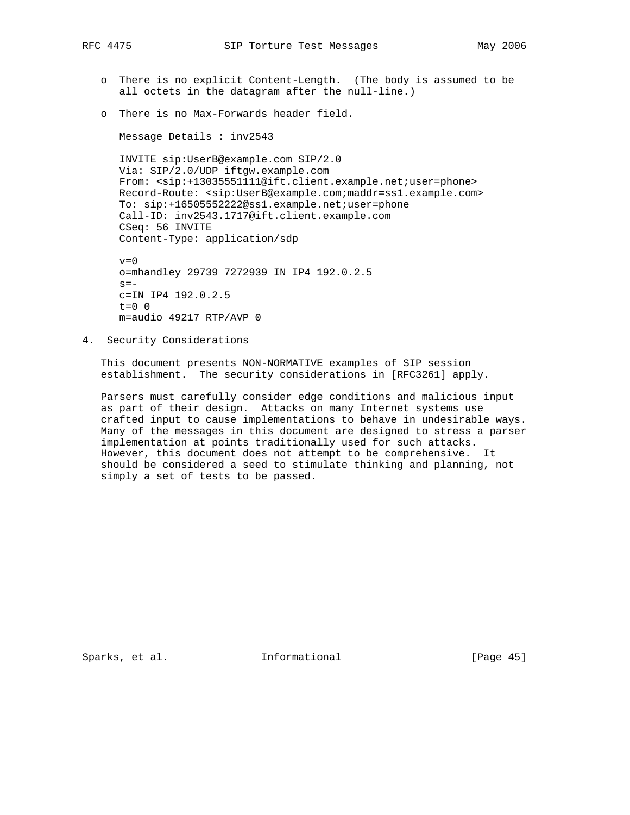- o There is no explicit Content-Length. (The body is assumed to be all octets in the datagram after the null-line.)
- o There is no Max-Forwards header field.

Message Details : inv2543

 INVITE sip:UserB@example.com SIP/2.0 Via: SIP/2.0/UDP iftgw.example.com From: <sip:+13035551111@ift.client.example.net;user=phone> Record-Route: <sip:UserB@example.com;maddr=ss1.example.com> To: sip:+16505552222@ss1.example.net;user=phone Call-ID: inv2543.1717@ift.client.example.com CSeq: 56 INVITE Content-Type: application/sdp

 $v=0$  o=mhandley 29739 7272939 IN IP4 192.0.2.5  $s =$  c=IN IP4 192.0.2.5  $t=0$  0 m=audio 49217 RTP/AVP 0

4. Security Considerations

 This document presents NON-NORMATIVE examples of SIP session establishment. The security considerations in [RFC3261] apply.

 Parsers must carefully consider edge conditions and malicious input as part of their design. Attacks on many Internet systems use crafted input to cause implementations to behave in undesirable ways. Many of the messages in this document are designed to stress a parser implementation at points traditionally used for such attacks. However, this document does not attempt to be comprehensive. It should be considered a seed to stimulate thinking and planning, not simply a set of tests to be passed.

Sparks, et al. **Informational** [Page 45]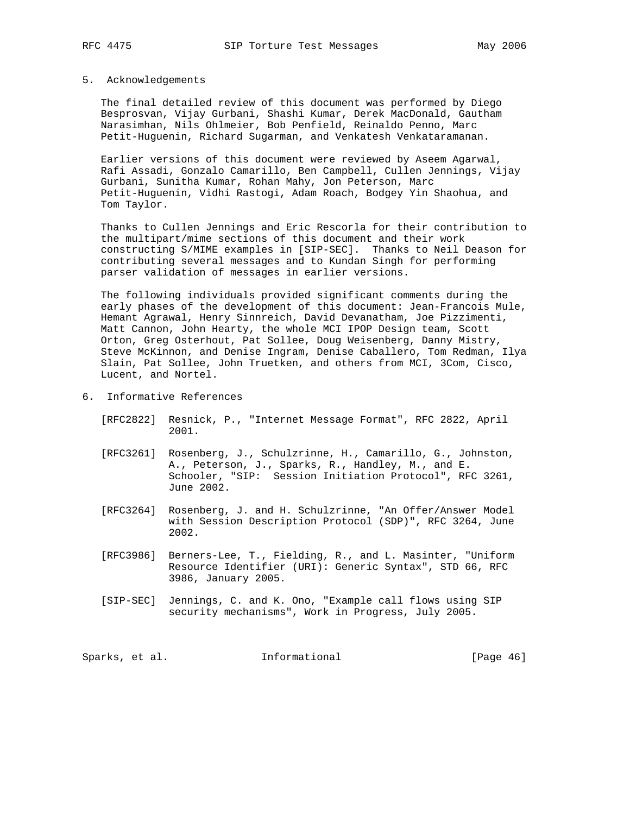## 5. Acknowledgements

 The final detailed review of this document was performed by Diego Besprosvan, Vijay Gurbani, Shashi Kumar, Derek MacDonald, Gautham Narasimhan, Nils Ohlmeier, Bob Penfield, Reinaldo Penno, Marc Petit-Huguenin, Richard Sugarman, and Venkatesh Venkataramanan.

 Earlier versions of this document were reviewed by Aseem Agarwal, Rafi Assadi, Gonzalo Camarillo, Ben Campbell, Cullen Jennings, Vijay Gurbani, Sunitha Kumar, Rohan Mahy, Jon Peterson, Marc Petit-Huguenin, Vidhi Rastogi, Adam Roach, Bodgey Yin Shaohua, and Tom Taylor.

 Thanks to Cullen Jennings and Eric Rescorla for their contribution to the multipart/mime sections of this document and their work constructing S/MIME examples in [SIP-SEC]. Thanks to Neil Deason for contributing several messages and to Kundan Singh for performing parser validation of messages in earlier versions.

 The following individuals provided significant comments during the early phases of the development of this document: Jean-Francois Mule, Hemant Agrawal, Henry Sinnreich, David Devanatham, Joe Pizzimenti, Matt Cannon, John Hearty, the whole MCI IPOP Design team, Scott Orton, Greg Osterhout, Pat Sollee, Doug Weisenberg, Danny Mistry, Steve McKinnon, and Denise Ingram, Denise Caballero, Tom Redman, Ilya Slain, Pat Sollee, John Truetken, and others from MCI, 3Com, Cisco, Lucent, and Nortel.

- 6. Informative References
	- [RFC2822] Resnick, P., "Internet Message Format", RFC 2822, April 2001.
	- [RFC3261] Rosenberg, J., Schulzrinne, H., Camarillo, G., Johnston, A., Peterson, J., Sparks, R., Handley, M., and E. Schooler, "SIP: Session Initiation Protocol", RFC 3261, June 2002.
	- [RFC3264] Rosenberg, J. and H. Schulzrinne, "An Offer/Answer Model with Session Description Protocol (SDP)", RFC 3264, June 2002.
	- [RFC3986] Berners-Lee, T., Fielding, R., and L. Masinter, "Uniform Resource Identifier (URI): Generic Syntax", STD 66, RFC 3986, January 2005.
	- [SIP-SEC] Jennings, C. and K. Ono, "Example call flows using SIP security mechanisms", Work in Progress, July 2005.

Sparks, et al. 1nformational 1998 [Page 46]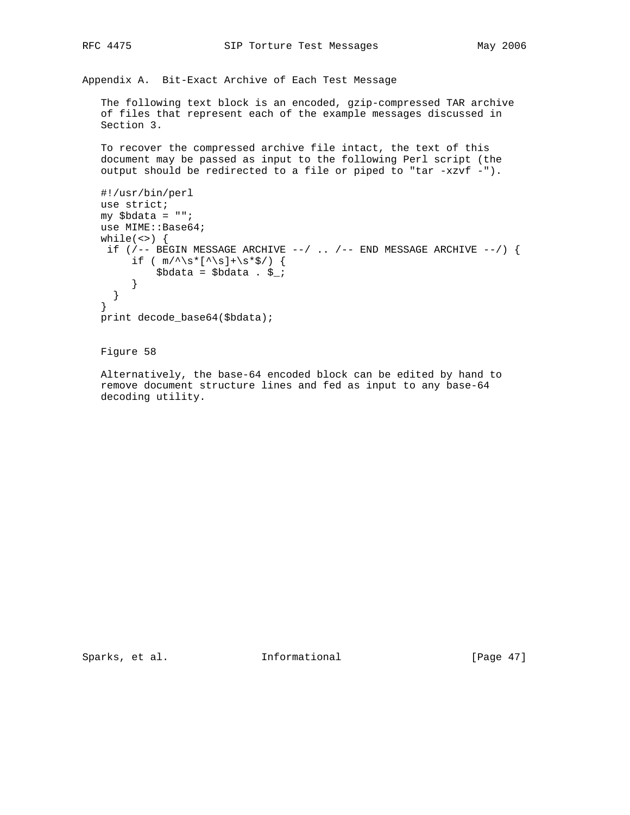Appendix A. Bit-Exact Archive of Each Test Message

 The following text block is an encoded, gzip-compressed TAR archive of files that represent each of the example messages discussed in Section 3.

 To recover the compressed archive file intact, the text of this document may be passed as input to the following Perl script (the output should be redirected to a file or piped to "tar -xzvf -").

```
 #!/usr/bin/perl
 use strict;
 my $bdata = "";
use MIME::Base64;
while(\langle \rangle) {
if (/-- BEGIN MESSAGE ARCHIVE --/ .. /-- END MESSAGE ARCHIVE --/) {
     if ( m/\uparrow\s*[\uparrow\s]+\s*$/) {
          $bdata = $bdata . $ }
   }
 }
 print decode_base64($bdata);
```
Figure 58

 Alternatively, the base-64 encoded block can be edited by hand to remove document structure lines and fed as input to any base-64 decoding utility.

Sparks, et al. 1nformational [Page 47]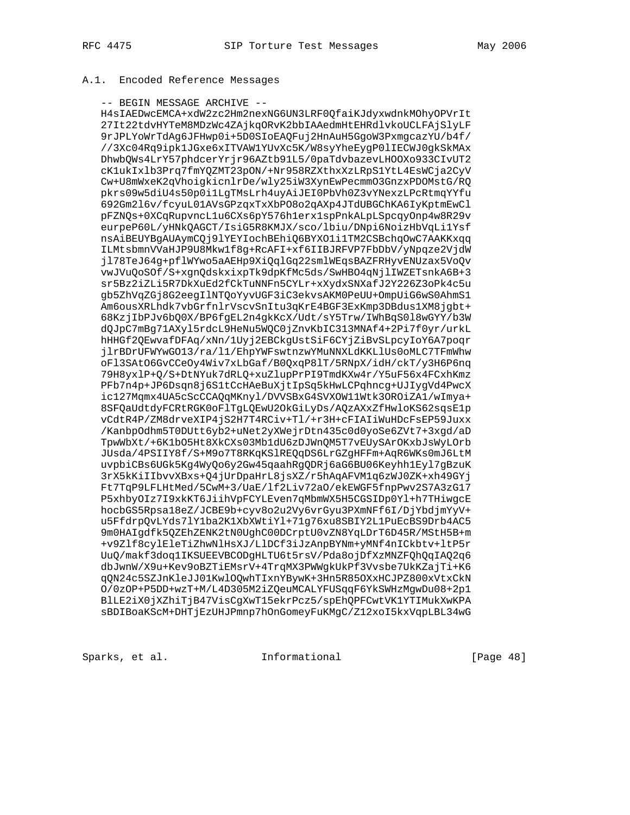# A.1. Encoded Reference Messages

### -- BEGIN MESSAGE ARCHIVE --

 H4sIAEDwcEMCA+xdW2zc2Hm2nexNG6UN3LRF0QfaiKJdyxwdnkMOhyOPVrIt 27It22tdvHYTeM8MDzWc4ZAjkqORvK2bbIAAedmHtEHRdlvkoUCLFAjSlyLF 9rJPLYoWrTdAg6JFHwp0i+5D0SIoEAQFuj2HnAuH5GgoW3PxmgcazYU/b4f/ //3Xc04Rq9ipk1JGxe6xITVAW1YUvXc5K/W8syYheEygP0lIECWJ0gkSkMAx DhwbQWs4LrY57phdcerYrjr96AZtb91L5/0paTdvbazevLHOOXo933CIvUT2 cK1ukIxlb3Prq7fmYQZMT23pON/+Nr958RZXthxXzLRpS1YtL4EsWCja2CyV Cw+U8mWxeK2qVhoigkicnlrDe/wly25iW3XynEwPecmmO3GnzxPDOMstG/RQ pkrs09w5diU4s50p0i1LgTMsLrh4uyAiJEI0PbVh0Z3vYNexzLPcRtmqYYfu 692Gm2l6v/fcyuL01AVsGPzqxTxXbPO8o2qAXp4JTdUBGChKA6IyKptmEwCl pFZNQs+0XCqRupvncL1u6CXs6pY576h1erx1spPnkALpLSpcqyOnp4w8R29v eurpeP60L/yHNkQAGCT/IsiG5R8KMJX/sco/lbiu/DNpi6NoizHbVqLi1Ysf nsAiBEUYBgAUAymCQj9lYEYIochBEhiQ6BYXO1i1TM2CSBchqOwC7AAKKxqq ILMtsbmnVVaHJP9U8Mkw1f8g+RcAFI+xf6IIBJRFVP7FbDbV/yNpqze2VjdW jl78TeJ64g+pflWYwo5aAEHp9XiQqlGq22smlWEqsBAZFRHyvENUzax5VoQv vwJVuQoSOf/S+xgnQdskxixpTk9dpKfMc5ds/SwHBO4qNjlIWZETsnkA6B+3 sr5Bz2iZLi5R7DkXuEd2fCkTuNNFn5CYLr+xXydxSNXafJ2Y226Z3oPk4c5u gb5ZhVqZGj8G2eegIlNTQoYyvUGF3iC3ekvsAKM0PeUU+OmpUiG6wS0AhmS1 Am6ousXRLhdk7vbGrfnlrVscvSnItu3qKrE4BGF3ExKmp3DBdus1XM8jgbt+ 68KzjIbPJv6bQ0X/BP6fgEL2n4gkKcX/Udt/sY5Trw/IWhBqS0l8wGYY/b3W dQJpC7mBg71AXyl5rdcL9HeNu5WQC0jZnvKbIC313MNAf4+2Pi7f0yr/urkL hHHGf2QEwvafDFAq/xNn/1Uyj2EBCkgUstSiF6CYjZiBvSLpcyIoY6A7poqr jlrBDrUFWYwGO13/ra/l1/EhpYWFswtnzwYMuNNXLdKKLlUs0oMLC7TFmWhw oFl3SAtO6GvCCeOy4Wiv7xLbGaf/B0QxqP8lT/5RNpX/idH/ckT/y3H6P6nq 79H8yxlP+Q/S+DtNYuk7dRLQ+xuZlupPrPI9TmdKXw4r/Y5uF56x4FCxhKmz PFb7n4p+JP6Dsqn8j6S1tCcHAeBuXjtIpSq5kHwLCPqhncg+UJIygVd4PwcX ic127Mqmx4UA5cScCCAQqMKnyl/DVVSBxG4SVXOW11Wtk3OROiZA1/wImya+ 8SFQaUdtdyFCRtRGK0oFlTgLQEwU2OkGiLyDs/AQzAXxZfHwloKS62sqsE1p vCdtR4P/ZM8drveXIP4jS2H7T4RCiv+Tl/+r3H+cFIAIiWuHDcFsEP59Juxx /KanbpOdhm5T0DUtt6yb2+uNet2yXWejrDtn435c0d0yoSe6ZVt7+3xgd/aD TpwWbXt/+6K1bO5Ht8XkCXs03Mb1dU6zDJWnQM5T7vEUySArOKxbJsWyLOrb JUsda/4PSIIY8f/S+M9o7T8RKqKSlREQqDS6LrGZgHFFm+AqR6WKs0mJ6LtM uvpbiCBs6UGk5Kg4WyQo6y2Gw45qaahRgQDRj6aG6BU06Keyhh1Eyl7gBzuK 3rX5kKiIIbvvXBxs+Q4jUrDpaHrL8jsXZ/r5hAqAFVM1q6zWJ0ZK+xh49GYj Ft7TqP9LFLHtMed/5CwM+3/UaE/lf2Liv72aO/ekEWGF5fnpPwv2S7A3zG17 P5xhbyOIz7I9xkKT6JiihVpFCYLEven7qMbmWX5H5CGSIDp0Yl+h7THiwgcE hocbGS5Rpsa18eZ/JCBE9b+cyv8o2u2Vy6vrGyu3PXmNFf6I/DjYbdjmYyV+ u5FfdrpQvLYds7lY1ba2K1XbXWtiYl+71g76xu8SBIY2L1PuEcBS9Drb4AC5 9m0HAIgdfk5QZEhZENK2tN0UghC00DCrptU0vZN8YqLDrT6D45R/MStH5B+m +v9Zlf8cylEleTiZhwNlHsXJ/LlDCf3iJzAnpBYNm+yMNf4nICkbtv+ltP5r UuQ/makf3doq1IKSUEEVBCODgHLTU6t5rsV/Pda8ojDfXzMNZFQhQqIAQ2q6 dbJwnW/X9u+Kev9oBZTiEMsrV+4TrqMX3PWWgkUkPf3Vvsbe7UkKZajTi+K6 qQN24c5SZJnKleJJ01KwlOQwhTIxnYBywK+3Hn5R85OXxHCJPZ800xVtxCkN O/0zOP+P5DD+wzT+M/L4D305M2iZQeuMCALYFUSqqF6YkSWHzMgwDu08+2p1 BlLE2iX0jXZhiTjB47VisCgXwT15ekrPcz5/spEhQPFCwtVK1YTIMukXwKPA sBDIBoaKScM+DHTjEzUHJPmnp7hOnGomeyFuKMgC/Z12xoI5kxVqpLBL34wG

Sparks, et al. **Informational** [Page 48]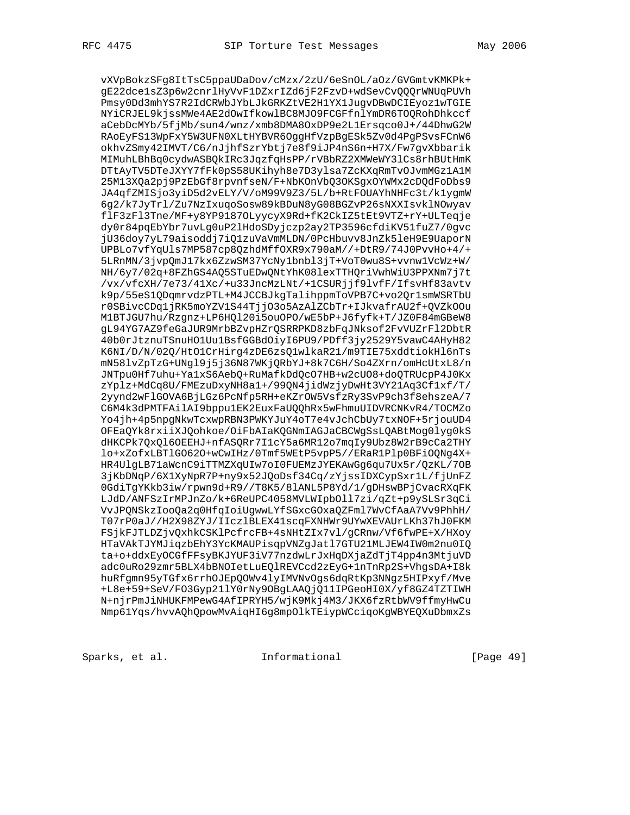vXVpBokzSFg8ItTsC5ppaUDaDov/cMzx/2zU/6eSnOL/aOz/GVGmtvKMKPk+ gE22dce1sZ3p6w2cnrlHyVvF1DZxrIZd6jF2FzvD+wdSevCvQQQrWNUqPUVh Pmsy0Dd3mhYS7R2IdCRWbJYbLJkGRKZtVE2H1YX1JugvDBwDCIEyoz1wTGIE NYiCRJEL9kjssMWe4AE2dOwIfkowlBC8MJO9FCGFfnlYmDR6TOQRohDhkccf aCebDcMYb/5fjMb/sun4/wnz/xmb8DMA8OxDP9e2L1Ersqco0J+/44DhwG2W RAoEyFS13WpFxY5W3UFN0XLtHYBVR6OggHfVzpBgESk5Zv0d4PgPSvsFCnW6 okhvZSmy42IMVT/C6/nJjhfSzrYbtj7e8f9iJP4nS6n+H7X/Fw7gvXbbarik MIMuhLBhBq0cydwASBQkIRc3JqzfqHsPP/rVBbRZ2XMWeWY3lCs8rhBUtHmK DTtAyTV5DTeJXYY7fFk0pS58UKihyh8e7D3ylsa7ZcKXqRmTvOJvmMGz1A1M 25M13XQa2pj9PzEbGf8rpvnfseN/F+NbKOnVbQ3OKSgxOYWMx2cDQdFoDbs9 JA4qfZMISjo3yiD5d2vELY/V/oM99V9Z3/5L/b+RtFOUAYhNHFc3t/k1ygmW 6g2/k7JyTrl/Zu7NzIxuqoSosw89kBDuN8yG08BGZvP26sNXXIsvklNOwyav flF3zFl3Tne/MF+y8YP9187OLyycyX9Rd+fK2CkIZ5tEt9VTZ+rY+ULTeqje dy0r84pqEbYbr7uvLg0uP2lHdoSDyjczp2ay2TP3596cfdiKV51fuZ7/0gvc jU36doy7yL79aisoddj7iQ1zuVaVmMLDN/0PcHbuvv8JnZk5leH9E9UaporN UPBLo7vfYqUls7MP587cp8QzhdMffOXR9x790aM//+DtR9/74J0PvvHo+4/+ 5LRnMN/3jvpQmJ17kx6ZzwSM37YcNy1bnbl3jT+VoT0wu8S+vvnw1VcWz+W/ NH/6y7/02q+8FZhGS4AQ5STuEDwQNtYhK08lexTTHQriVwhWiU3PPXNm7j7t /vx/vfcXH/7e73/41Xc/+u33JncMzLNt/+1CSURjjf9lvfF/IfsvHf83avtv k9p/55eS1QDqmrvdzPTL+M4JCCBJkgTalihppmToVPB7C+vo2Qr1smWSRTbU r0SBivcCDq1jRK5moYZV1S44TjjO3o5AzAlZCbTr+IJkvafrAU2f+QVZkOOu M1BTJGU7hu/Rzgnz+LP6HQl20i5ouOPO/wE5bP+J6fyfk+T/JZ0F84mGBeW8 gL94YG7AZ9feGaJUR9MrbBZvpHZrQSRRPKD8zbFqJNksof2FvVUZrFl2DbtR 40b0rJtznuTSnuHO1Uu1BsfGGBdOiyI6PU9/PDff3jy2529Y5vawC4AHyH82 K6NI/D/N/02Q/HtO1CrHirg4zDE6zsQ1wlkaR21/m9TIE75xddtiokHl6nTs mN58lvZpTzG+UNgl9j5j36N87WKjQRbYJ+8k7C6H/So4ZXrn/omHcUtxL8/n JNTpu0Hf7uhu+Ya1xS6AebQ+RuMafkDdQcO7HB+w2cUO8+doQTRUcpP4J0Kx zYplz+MdCq8U/FMEzuDxyNH8a1+/99QN4jidWzjyDwHt3VY21Aq3Cf1xf/T/ 2yynd2wFlGOVA6BjLGz6PcNfp5RH+eKZrOW5VsfzRy3SvP9ch3f8ehszeA/7 C6M4k3dPMTFAilAI9bppu1EK2EuxFaUQQhRx5wFhmuUIDVRCNKvR4/TOCMZo Yo4jh+4p5npgNkwTcxwpRBN3PWKYJuY4oT7e4vJchCbUy7txNOF+5rjouUD4 OFEaQYk8rxiiXJQohkoe/OiFbAIaKQGNmIAGJaCBCWgSsLQABtMog0lyg0kS dHKCPk7QxQl6OEEHJ+nfASQRr7I1cY5a6MR12o7mqIy9Ubz8W2rB9cCa2THY lo+xZofxLBTlGO62O+wCwIHz/0Tmf5WEtP5vpP5//ERaR1Plp0BFiOQNg4X+ HR4UlgLB71aWcnC9iTTMZXqUIw7oI0FUEMzJYEKAwGg6qu7Ux5r/QzKL/7OB 3jKbDNqP/6X1XyNpR7P+ny9x52JQoDsf34Cq/zYjssIDXCypSxr1L/fjUnFZ 0GdiTgYKkb3iw/rpwn9d+R9//T8K5/8lANL5P8Yd/1/gDHswBPjCvacRXqFK LJdD/ANFSzIrMPJnZo/k+6ReUPC4058MVLWIpbOll7zi/qZt+p9ySLSr3qCi VvJPQNSkzIooQa2q0HfqIoiUgwwLYfSGxcGOxaQZFml7WvCfAaA7Vv9PhhH/ T07rP0aJ//H2X98ZYJ/IIczlBLEX41scqFXNHWr9UYwXEVAUrLKh37hJ0FKM FSjkFJTLDZjvQxhkCSKlPcfrcFB+4sNHtZIx7vl/gCRnw/Vf6fwPE+X/HXoy HTaVAkTJYMJiqzbEhY3YcKMAUPisqpVNZgJatl7GTU21MLJEW4IW0m2nu0IQ ta+o+ddxEyOCGfFFsyBKJYUF3iV77nzdwLrJxHqDXjaZdTjT4pp4n3MtjuVD adc0uRo29zmr5BLX4bBNOIetLuEQlREVCcd2zEyG+1nTnRp2S+VhgsDA+I8k huRfgmn95yTGfx6rrhOJEpQOWv4lyIMVNvOgs6dqRtKp3NNgz5HIPxyf/Mve +L8e+59+SeV/FO3Gyp21lY0rNy9OBgLAAQjQ11IPGeoHI0X/yf8GZ4TZTIWH N+njrPmJiNHUKFMPewG4AfIPRYH5/wjK9Mkj4M3/JKX6fzRtbWV9ffmyHwCu Nmp61Yqs/hvvAQhQpowMvAiqHI6g8mpOlkTEiypWCciqoKgWBYEQXuDbmxZs

Sparks, et al. 1nformational [Page 49]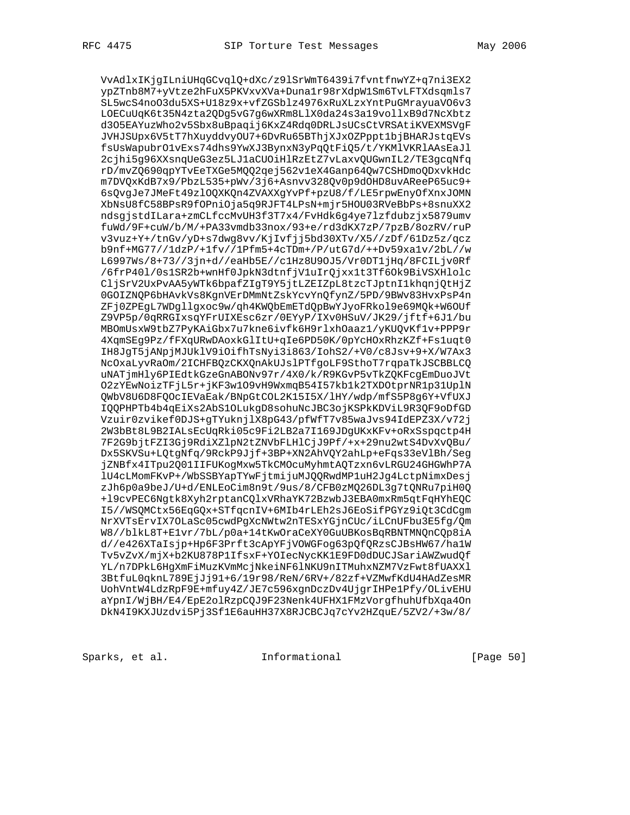VvAdlxIKjgILniUHqGCvqlQ+dXc/z9lSrWmT6439i7fvntfnwYZ+q7ni3EX2 ypZTnb8M7+yVtze2hFuX5PKVxvXVa+Duna1r98rXdpW1Sm6TvLFTXdsqmls7 SL5wcS4noO3du5XS+U18z9x+vfZGSblz4976xRuXLzxYntPuGMrayuaVO6v3 LOECuUqK6t35N4zta2QDg5vG7g6wXRm8LlX0da24s3a19vollxB9d7NcXbtz d3O5EAYuzWho2v5Sbx8uBpaqij6KxZ4Rdq0DRLJsUCsCtVRSAtiKVEXMSVgF JVHJSUpx6V5tT7hXuyddvyOU7+6DvRu65BThjXJxOZPppt1bjBHARJstqEVs fsUsWapubrO1vExs74dhs9YwXJ3BynxN3yPqQtFiQ5/t/YKMlVKRlAAsEaJl 2cjhi5g96XXsnqUeG3ez5LJ1aCUOiHlRzEtZ7vLaxvQUGwnIL2/TE3gcqNfq rD/mvZQ690qpYTvEeTXGe5MQQ2qej562v1eX4Ganp64Qw7CSHDmoQDxvkHdc m7DVQxKdB7x9/PbzL535+pWv/3j6+Asnvv328Qv0p9dOHD8uvAReeP65uc9+ 6sQvgJe7JMeFt49zlOQXKQn4ZVAXXgYvPf+pzU8/f/LE5rpwEnyOfXnxJOMN XbNsU8fC58BPsR9fOPniOja5q9RJFT4LPsN+mjr5HOU03RVeBbPs+8snuXX2 ndsgjstdILara+zmCLfccMvUH3f3T7x4/FvHdk6g4ye7lzfdubzjx5879umv fuWd/9F+cuW/b/M/+PA33vmdb33nox/93+e/rd3dKX7zP/7pzB/8ozRV/ruP v3vuz+Y+/tnGv/yD+s7dwg8vv/KjIvfjj5bd30XTv/X5//zDf/61Dz5z/qcz b9nf+MG77//1dzP/+1fv//1Pfm5+4cTDm+/P/utG7d/++Dv59xa1v/2bL//w L6997Ws/8+73//3jn+d//eaHb5E//c1Hz8U9OJ5/Vr0DT1jHq/8FCILjv0Rf /6frP40l/0s1SR2b+wnHf0JpkN3dtnfjV1uIrQjxx1t3Tf6Ok9BiVSXHlolc CljSrV2UxPvAA5yWTk6bpafZIgT9Y5jtLZEIZpL8tzcTJptnI1khqnjQtHjZ 0GOIZNQP6bHAvkVs8KgnVErDMmNtZskYcvYnQfynZ/5PD/9BWv83HvxPsP4n ZFj0ZPEgL7WDgllgxoc9w/qh4KWQbEmETdQpBwYJyoFRkol9e69MQk+W6OUf Z9VP5p/0qRRGIxsqYFrUIXEsc6zr/0EYyP/IXv0HSuV/JK29/jftf+6J1/bu MBOmUsxW9tbZ7PyKAiGbx7u7kne6ivfk6H9rlxhOaaz1/yKUQvKf1v+PPP9r 4XqmSEg9Pz/fFXqURwDAoxkGlItU+qIe6PD50K/0pYcHOxRhzKZf+Fs1uqt0 IH8JgT5jANpjMJUklV9iOifhTsNyi3i863/IohS2/+V0/c8Jsv+9+X/W7Ax3 NcOxaLyvRaOm/2ICHFBQzCKXQnAkUJslPTfgoLF9SthoT7rqpaTkJSCBBLCQ uNATjmHly6PIEdtkGzeGnABONv97r/4X0/k/R9KGvP5vTkZQKFcgEmDuoJVt O2zYEwNoizTFjL5r+jKF3w1O9vH9WxmqB54I57kb1k2TXDOtprNR1p31UplN QWbV8U6D8FQOcIEVaEak/BNpGtCOL2K15I5X/lHY/wdp/mfS5P8g6Y+VfUXJ IQQPHPTb4b4qEiXs2AbS1OLukgD8sohuNcJBC3ojKSPkKDViL9R3QF9oDfGD Vzuir0zvikef0DJS+gTYuknjlX8pG43/pfWfT7v85waJvs94IdEPZ3X/v72j 2W3bBt8L9B2IALsEcUqRki05c9Fi2LB2a7I169JDgUKxKFv+oRxSspqctp4H 7F2G9bjtFZI3Gj9RdiXZlpN2tZNVbFLHlCjJ9Pf/+x+29nu2wtS4DvXvQBu/ Dx5SKVSu+LQtgNfq/9RckP9Jjf+3BP+XN2AhVQY2ahLp+eFqs33eVlBh/Seg jZNBfx4ITpu2Q01IIFUKogMxw5TkCMOcuMyhmtAQTzxn6vLRGU24GHGWhP7A lU4cLMomFKvP+/WbSSBYapTYwFjtmijuMJQQRwdMP1uH2Jg4LctpNimxDesj zJh6p0a9beJ/U+d/ENLEoCim8n9t/9us/8/CFB0zMQ26DL3g7tQNRu7piH0Q +l9cvPEC6Ngtk8Xyh2rptanCQlxVRhaYK72BzwbJ3EBA0mxRm5qtFqHYhEQC I5//WSQMCtx56EqGQx+STfqcnIV+6MIb4rLEh2sJ6EoSifPGYz9iQt3CdCgm NrXVTsErvIX7OLaSc05cwdPgXcNWtw2nTESxYGjnCUc/iLCnUFbu3E5fg/Qm W8//blkL8T+E1vr/7bL/p0a+14tKwOraCeXY0GuUBKosBqRBNTMNQnCQp8iA d//e426XTaIsjp+Hp6F3Prft3cApYFjVOWGFog63pQfQRzsCJBsHW67/ha1W Tv5vZvX/mjX+b2KU878P1IfsxF+YOIecNycKK1E9FD0dDUCJSariAWZwudQf YL/n7DPkL6HgXmFiMuzKVmMcjNkeiNF6lNKU9nITMuhxNZM7VzFwt8fUAXXl 3BtfuL0qknL789EjJj91+6/19r98/ReN/6RV+/82zf+VZMwfKdU4HAdZesMR UohVntW4LdzRpF9E+mfuy4Z/JE7c596xgnDczDv4UjgrIHPe1Pfy/OLivEHU aYpnI/WjBH/E4/EpE2olRzpCQJ9F23Nenk4UFHX1FMzVorgfhuhUfbXqa4On DkN4I9KXJUzdvi5Pj3Sf1E6auHH37X8RJCBCJq7cYv2HZquE/5ZV2/+3w/8/

Sparks, et al. 1nformational [Page 50]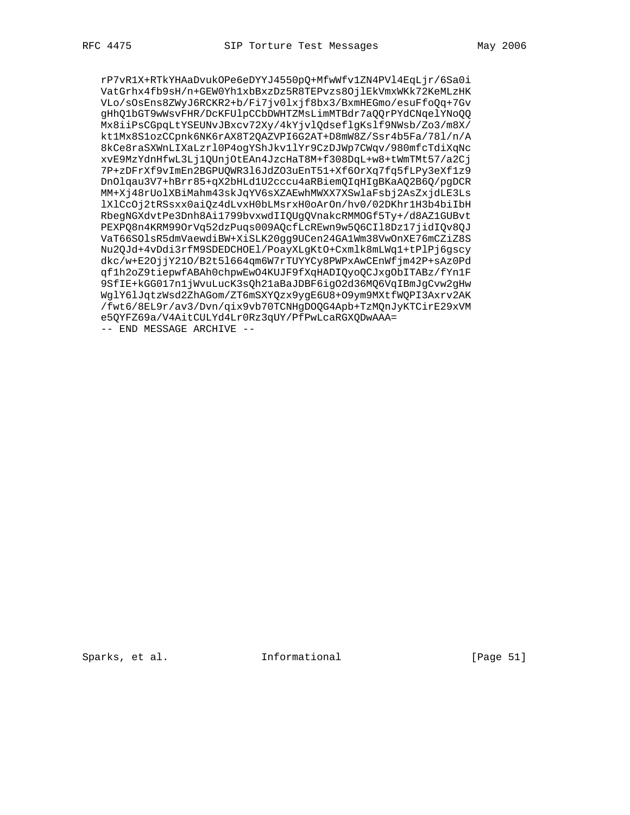rP7vR1X+RTkYHAaDvukOPe6eDYYJ4550pQ+MfwWfv1ZN4PVl4EqLjr/6Sa0i VatGrhx4fb9sH/n+GEW0Yh1xbBxzDz5R8TEPvzs8OjlEkVmxWKk72KeMLzHK VLo/sOsEns8ZWyJ6RCKR2+b/Fi7jv0lxjf8bx3/BxmHEGmo/esuFfoQq+7Gv gHhQ1bGT9wWsvFHR/DcKFUlpCCbDWHTZMsLimMTBdr7aQQrPYdCNqelYNoQQ Mx8iiPsCGpqLtYSEUNvJBxcv72Xy/4kYjvlQdseflgKslf9NWsb/Zo3/m8X/ kt1Mx8S1ozCCpnk6NK6rAX8T2QAZVPI6G2AT+D8mW8Z/Ssr4b5Fa/78l/n/A 8kCe8raSXWnLIXaLzrl0P4ogYShJkv1lYr9CzDJWp7CWqv/980mfcTdiXqNc xvE9MzYdnHfwL3Lj1QUnjOtEAn4JzcHaT8M+f308DqL+w8+tWmTMt57/a2Cj 7P+zDFrXf9vImEn2BGPUQWR3l6JdZO3uEnT51+Xf6OrXq7fq5fLPy3eXf1z9 DnOlqau3V7+hBrr85+qX2bHLd1U2cccu4aRBiemQIqHIgBKaAQ2B6Q/pgDCR MM+Xj48rUolXBiMahm43skJqYV6sXZAEwhMWXX7XSwlaFsbj2AsZxjdLE3Ls lXlCcOj2tRSsxx0aiQz4dLvxH0bLMsrxH0oArOn/hv0/02DKhr1H3b4biIbH RbegNGXdvtPe3Dnh8Ai1799bvxwdIIQUgQVnakcRMMOGf5Ty+/d8AZ1GUBvt PEXPQ8n4KRM99OrVq52dzPuqs009AQcfLcREwn9w5Q6CIl8Dz17jidIQv8QJ VaT66SOlsR5dmVaewdiBW+XiSLK20gg9UCen24GA1Wm38VwOnXE76mCZiZ8S Nu2QJd+4vDdi3rfM9SDEDCHOEl/PoayXLgKtO+Cxmlk8mLWq1+tPlPj6gscy dkc/w+E2OjjY21O/B2t5l664qm6W7rTUYYCy8PWPxAwCEnWfjm42P+sAz0Pd qf1h2oZ9tiepwfABAh0chpwEwO4KUJF9fXqHADIQyoQCJxgObITABz/fYn1F 9SfIE+kGG017n1jWvuLucK3sQh21aBaJDBF6igO2d36MQ6VqIBmJgCvw2gHw WglY6lJqtzWsd2ZhAGom/ZT6mSXYQzx9ygE6U8+O9ym9MXtfWQPI3Axrv2AK /fwt6/8EL9r/av3/Dvn/qix9vb70TCNHgDOQG4Apb+TzMQnJyKTCirE29xVM e5QYFZ69a/V4AitCULYd4Lr0Rz3qUY/PfPwLcaRGXQDwAAA= -- END MESSAGE ARCHIVE --

Sparks, et al. 1nformational [Page 51]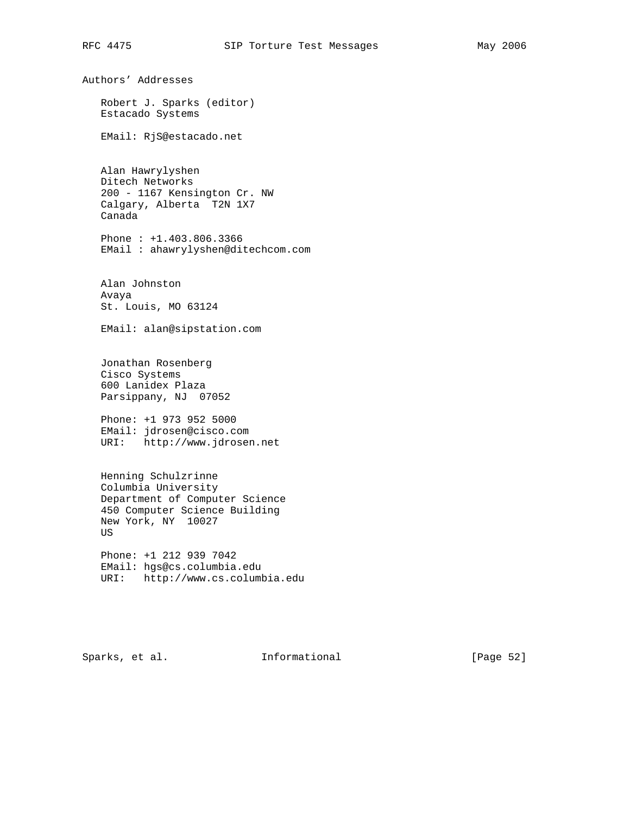Authors' Addresses Robert J. Sparks (editor) Estacado Systems EMail: RjS@estacado.net Alan Hawrylyshen Ditech Networks 200 - 1167 Kensington Cr. NW Calgary, Alberta T2N 1X7 Canada Phone : +1.403.806.3366 EMail : ahawrylyshen@ditechcom.com Alan Johnston Avaya St. Louis, MO 63124 EMail: alan@sipstation.com Jonathan Rosenberg Cisco Systems 600 Lanidex Plaza Parsippany, NJ 07052 Phone: +1 973 952 5000 EMail: jdrosen@cisco.com URI: http://www.jdrosen.net Henning Schulzrinne Columbia University Department of Computer Science 450 Computer Science Building New York, NY 10027 US Phone: +1 212 939 7042 EMail: hgs@cs.columbia.edu URI: http://www.cs.columbia.edu

Sparks, et al. **Informational** [Page 52]